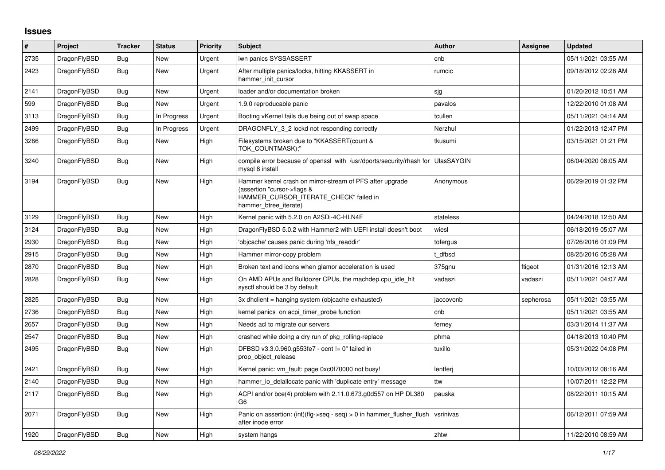## **Issues**

| #    | Project      | <b>Tracker</b> | <b>Status</b> | Priority | <b>Subject</b>                                                                                                                                              | <b>Author</b> | Assignee  | <b>Updated</b>      |
|------|--------------|----------------|---------------|----------|-------------------------------------------------------------------------------------------------------------------------------------------------------------|---------------|-----------|---------------------|
| 2735 | DragonFlyBSD | <b>Bug</b>     | New           | Urgent   | iwn panics SYSSASSERT                                                                                                                                       | cnb           |           | 05/11/2021 03:55 AM |
| 2423 | DragonFlyBSD | <b>Bug</b>     | <b>New</b>    | Urgent   | After multiple panics/locks, hitting KKASSERT in<br>hammer init cursor                                                                                      | rumcic        |           | 09/18/2012 02:28 AM |
| 2141 | DragonFlyBSD | <b>Bug</b>     | <b>New</b>    | Urgent   | loader and/or documentation broken                                                                                                                          | sjg           |           | 01/20/2012 10:51 AM |
| 599  | DragonFlyBSD | <b>Bug</b>     | New           | Urgent   | 1.9.0 reproducable panic                                                                                                                                    | pavalos       |           | 12/22/2010 01:08 AM |
| 3113 | DragonFlyBSD | <b>Bug</b>     | In Progress   | Urgent   | Booting vKernel fails due being out of swap space                                                                                                           | tcullen       |           | 05/11/2021 04:14 AM |
| 2499 | DragonFlyBSD | <b>Bug</b>     | In Progress   | Urgent   | DRAGONFLY_3_2 lockd not responding correctly                                                                                                                | Nerzhul       |           | 01/22/2013 12:47 PM |
| 3266 | DragonFlyBSD | <b>Bug</b>     | New           | High     | Filesystems broken due to "KKASSERT(count &<br>TOK COUNTMASK);"                                                                                             | tkusumi       |           | 03/15/2021 01:21 PM |
| 3240 | DragonFlyBSD | <b>Bug</b>     | New           | High     | compile error because of openssl with /usr/dports/security/rhash for UlasSAYGIN<br>mysgl 8 install                                                          |               |           | 06/04/2020 08:05 AM |
| 3194 | DragonFlyBSD | Bug            | <b>New</b>    | High     | Hammer kernel crash on mirror-stream of PFS after upgrade<br>(assertion "cursor->flags &<br>HAMMER_CURSOR_ITERATE_CHECK" failed in<br>hammer btree iterate) | Anonymous     |           | 06/29/2019 01:32 PM |
| 3129 | DragonFlyBSD | Bug            | <b>New</b>    | High     | Kernel panic with 5.2.0 on A2SDi-4C-HLN4F                                                                                                                   | stateless     |           | 04/24/2018 12:50 AM |
| 3124 | DragonFlyBSD | Bug            | <b>New</b>    | High     | DragonFlyBSD 5.0.2 with Hammer2 with UEFI install doesn't boot                                                                                              | wiesl         |           | 06/18/2019 05:07 AM |
| 2930 | DragonFlyBSD | <b>Bug</b>     | New           | High     | 'objcache' causes panic during 'nfs readdir'                                                                                                                | tofergus      |           | 07/26/2016 01:09 PM |
| 2915 | DragonFlyBSD | <b>Bug</b>     | <b>New</b>    | High     | Hammer mirror-copy problem                                                                                                                                  | t dfbsd       |           | 08/25/2016 05:28 AM |
| 2870 | DragonFlyBSD | <b>Bug</b>     | <b>New</b>    | High     | Broken text and icons when glamor acceleration is used                                                                                                      | 375gnu        | ftigeot   | 01/31/2016 12:13 AM |
| 2828 | DragonFlyBSD | <b>Bug</b>     | New           | High     | On AMD APUs and Bulldozer CPUs, the machdep.cpu idle hit<br>sysctl should be 3 by default                                                                   | vadaszi       | vadaszi   | 05/11/2021 04:07 AM |
| 2825 | DragonFlyBSD | <b>Bug</b>     | New           | High     | 3x dhclient = hanging system (objcache exhausted)                                                                                                           | jaccovonb     | sepherosa | 05/11/2021 03:55 AM |
| 2736 | DragonFlyBSD | Bug            | New           | High     | kernel panics on acpi timer probe function                                                                                                                  | cnb           |           | 05/11/2021 03:55 AM |
| 2657 | DragonFlyBSD | Bug            | New           | High     | Needs acl to migrate our servers                                                                                                                            | ferney        |           | 03/31/2014 11:37 AM |
| 2547 | DragonFlyBSD | Bug            | New           | High     | crashed while doing a dry run of pkg rolling-replace                                                                                                        | phma          |           | 04/18/2013 10:40 PM |
| 2495 | DragonFlyBSD | Bug            | New           | High     | DFBSD v3.3.0.960.g553fe7 - ocnt != 0" failed in<br>prop object release                                                                                      | tuxillo       |           | 05/31/2022 04:08 PM |
| 2421 | DragonFlyBSD | <b>Bug</b>     | <b>New</b>    | High     | Kernel panic: vm_fault: page 0xc0f70000 not busy!                                                                                                           | lentferj      |           | 10/03/2012 08:16 AM |
| 2140 | DragonFlyBSD | Bug            | New           | High     | hammer io delallocate panic with 'duplicate entry' message                                                                                                  | ttw           |           | 10/07/2011 12:22 PM |
| 2117 | DragonFlyBSD | Bug            | New           | High     | ACPI and/or bce(4) problem with 2.11.0.673.g0d557 on HP DL380<br>G <sub>6</sub>                                                                             | pauska        |           | 08/22/2011 10:15 AM |
| 2071 | DragonFlyBSD | Bug            | <b>New</b>    | High     | Panic on assertion: $(int)(flag->seq - seq) > 0$ in hammer flusher flush<br>after inode error                                                               | vsrinivas     |           | 06/12/2011 07:59 AM |
| 1920 | DragonFlyBSD | <b>Bug</b>     | <b>New</b>    | High     | system hangs                                                                                                                                                | zhtw          |           | 11/22/2010 08:59 AM |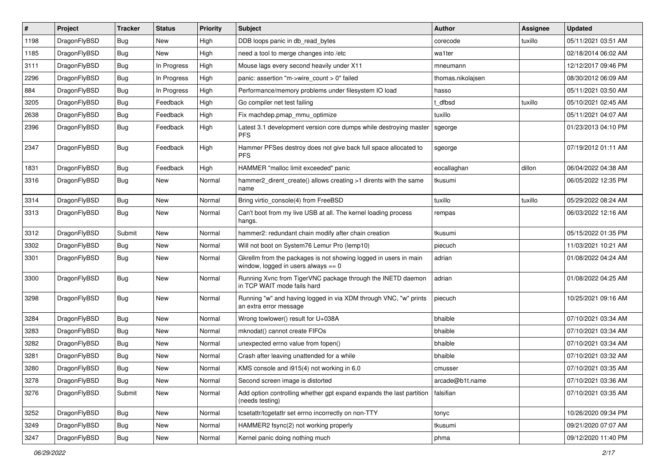| $\vert$ # | Project      | <b>Tracker</b> | <b>Status</b> | <b>Priority</b> | Subject                                                                                                   | <b>Author</b>     | <b>Assignee</b> | <b>Updated</b>      |
|-----------|--------------|----------------|---------------|-----------------|-----------------------------------------------------------------------------------------------------------|-------------------|-----------------|---------------------|
| 1198      | DragonFlyBSD | <b>Bug</b>     | <b>New</b>    | High            | DDB loops panic in db_read_bytes                                                                          | corecode          | tuxillo         | 05/11/2021 03:51 AM |
| 1185      | DragonFlyBSD | Bug            | <b>New</b>    | High            | need a tool to merge changes into /etc                                                                    | wa1ter            |                 | 02/18/2014 06:02 AM |
| 3111      | DragonFlyBSD | <b>Bug</b>     | In Progress   | High            | Mouse lags every second heavily under X11                                                                 | mneumann          |                 | 12/12/2017 09:46 PM |
| 2296      | DragonFlyBSD | <b>Bug</b>     | In Progress   | High            | panic: assertion "m->wire_count > 0" failed                                                               | thomas.nikolajsen |                 | 08/30/2012 06:09 AM |
| 884       | DragonFlyBSD | <b>Bug</b>     | In Progress   | High            | Performance/memory problems under filesystem IO load                                                      | hasso             |                 | 05/11/2021 03:50 AM |
| 3205      | DragonFlyBSD | <b>Bug</b>     | Feedback      | High            | Go compiler net test failing                                                                              | dfbsd             | tuxillo         | 05/10/2021 02:45 AM |
| 2638      | DragonFlyBSD | Bug            | Feedback      | High            | Fix machdep.pmap mmu optimize                                                                             | tuxillo           |                 | 05/11/2021 04:07 AM |
| 2396      | DragonFlyBSD | Bug            | Feedback      | High            | Latest 3.1 development version core dumps while destroying master<br><b>PFS</b>                           | sgeorge           |                 | 01/23/2013 04:10 PM |
| 2347      | DragonFlyBSD | Bug            | Feedback      | High            | Hammer PFSes destroy does not give back full space allocated to<br><b>PFS</b>                             | sgeorge           |                 | 07/19/2012 01:11 AM |
| 1831      | DragonFlyBSD | <b>Bug</b>     | Feedback      | High            | HAMMER "malloc limit exceeded" panic                                                                      | eocallaghan       | dillon          | 06/04/2022 04:38 AM |
| 3316      | DragonFlyBSD | Bug            | <b>New</b>    | Normal          | hammer2_dirent_create() allows creating >1 dirents with the same<br>name                                  | tkusumi           |                 | 06/05/2022 12:35 PM |
| 3314      | DragonFlyBSD | Bug            | <b>New</b>    | Normal          | Bring virtio console(4) from FreeBSD                                                                      | tuxillo           | tuxillo         | 05/29/2022 08:24 AM |
| 3313      | DragonFlyBSD | Bug            | New           | Normal          | Can't boot from my live USB at all. The kernel loading process<br>hangs.                                  | rempas            |                 | 06/03/2022 12:16 AM |
| 3312      | DragonFlyBSD | Submit         | New           | Normal          | hammer2: redundant chain modify after chain creation                                                      | tkusumi           |                 | 05/15/2022 01:35 PM |
| 3302      | DragonFlyBSD | <b>Bug</b>     | <b>New</b>    | Normal          | Will not boot on System76 Lemur Pro (lemp10)                                                              | piecuch           |                 | 11/03/2021 10:21 AM |
| 3301      | DragonFlyBSD | Bug            | <b>New</b>    | Normal          | Gkrellm from the packages is not showing logged in users in main<br>window, logged in users always $== 0$ | adrian            |                 | 01/08/2022 04:24 AM |
| 3300      | DragonFlyBSD | <b>Bug</b>     | <b>New</b>    | Normal          | Running Xvnc from TigerVNC package through the INETD daemon<br>in TCP WAIT mode fails hard                | adrian            |                 | 01/08/2022 04:25 AM |
| 3298      | DragonFlyBSD | <b>Bug</b>     | New           | Normal          | Running "w" and having logged in via XDM through VNC, "w" prints<br>an extra error message                | piecuch           |                 | 10/25/2021 09:16 AM |
| 3284      | DragonFlyBSD | Bug            | <b>New</b>    | Normal          | Wrong towlower() result for U+038A                                                                        | bhaible           |                 | 07/10/2021 03:34 AM |
| 3283      | DragonFlyBSD | Bug            | <b>New</b>    | Normal          | mknodat() cannot create FIFOs                                                                             | bhaible           |                 | 07/10/2021 03:34 AM |
| 3282      | DragonFlyBSD | <b>Bug</b>     | New           | Normal          | unexpected errno value from fopen()                                                                       | bhaible           |                 | 07/10/2021 03:34 AM |
| 3281      | DragonFlyBSD | <b>Bug</b>     | New           | Normal          | Crash after leaving unattended for a while                                                                | bhaible           |                 | 07/10/2021 03:32 AM |
| 3280      | DragonFlyBSD | <b>Bug</b>     | <b>New</b>    | Normal          | KMS console and i915(4) not working in 6.0                                                                | cmusser           |                 | 07/10/2021 03:35 AM |
| 3278      | DragonFlyBSD | <b>Bug</b>     | New           | Normal          | Second screen image is distorted                                                                          | arcade@b1t.name   |                 | 07/10/2021 03:36 AM |
| 3276      | DragonFlyBSD | Submit         | New           | Normal          | Add option controlling whether gpt expand expands the last partition<br>(needs testing)                   | falsifian         |                 | 07/10/2021 03:35 AM |
| 3252      | DragonFlyBSD | <b>Bug</b>     | New           | Normal          | tcsetattr/tcgetattr set errno incorrectly on non-TTY                                                      | tonyc             |                 | 10/26/2020 09:34 PM |
| 3249      | DragonFlyBSD | <b>Bug</b>     | New           | Normal          | HAMMER2 fsync(2) not working properly                                                                     | tkusumi           |                 | 09/21/2020 07:07 AM |
| 3247      | DragonFlyBSD | <b>Bug</b>     | New           | Normal          | Kernel panic doing nothing much                                                                           | phma              |                 | 09/12/2020 11:40 PM |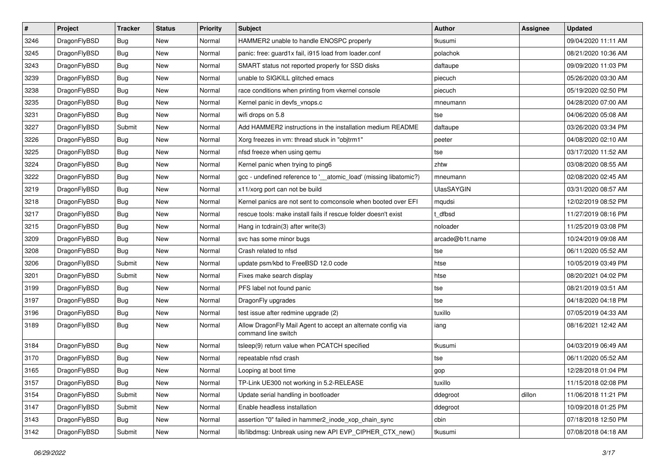| $\sharp$ | Project      | <b>Tracker</b> | <b>Status</b> | <b>Priority</b> | <b>Subject</b>                                                                      | Author            | Assignee | <b>Updated</b>      |
|----------|--------------|----------------|---------------|-----------------|-------------------------------------------------------------------------------------|-------------------|----------|---------------------|
| 3246     | DragonFlyBSD | <b>Bug</b>     | New           | Normal          | HAMMER2 unable to handle ENOSPC properly                                            | tkusumi           |          | 09/04/2020 11:11 AM |
| 3245     | DragonFlyBSD | Bug            | <b>New</b>    | Normal          | panic: free: guard1x fail, i915 load from loader.conf                               | polachok          |          | 08/21/2020 10:36 AM |
| 3243     | DragonFlyBSD | <b>Bug</b>     | <b>New</b>    | Normal          | SMART status not reported properly for SSD disks                                    | daftaupe          |          | 09/09/2020 11:03 PM |
| 3239     | DragonFlyBSD | <b>Bug</b>     | <b>New</b>    | Normal          | unable to SIGKILL glitched emacs                                                    | piecuch           |          | 05/26/2020 03:30 AM |
| 3238     | DragonFlyBSD | Bug            | <b>New</b>    | Normal          | race conditions when printing from vkernel console                                  | piecuch           |          | 05/19/2020 02:50 PM |
| 3235     | DragonFlyBSD | <b>Bug</b>     | <b>New</b>    | Normal          | Kernel panic in devfs_vnops.c                                                       | mneumann          |          | 04/28/2020 07:00 AM |
| 3231     | DragonFlyBSD | Bug            | New           | Normal          | wifi drops on 5.8                                                                   | tse               |          | 04/06/2020 05:08 AM |
| 3227     | DragonFlyBSD | Submit         | <b>New</b>    | Normal          | Add HAMMER2 instructions in the installation medium README                          | daftaupe          |          | 03/26/2020 03:34 PM |
| 3226     | DragonFlyBSD | <b>Bug</b>     | New           | Normal          | Xorg freezes in vm: thread stuck in "objtrm1"                                       | peeter            |          | 04/08/2020 02:10 AM |
| 3225     | DragonFlyBSD | Bug            | New           | Normal          | nfsd freeze when using qemu                                                         | tse               |          | 03/17/2020 11:52 AM |
| 3224     | DragonFlyBSD | <b>Bug</b>     | New           | Normal          | Kernel panic when trying to ping6                                                   | zhtw              |          | 03/08/2020 08:55 AM |
| 3222     | DragonFlyBSD | Bug            | <b>New</b>    | Normal          | gcc - undefined reference to '_atomic_load' (missing libatomic?)                    | mneumann          |          | 02/08/2020 02:45 AM |
| 3219     | DragonFlyBSD | <b>Bug</b>     | New           | Normal          | x11/xorg port can not be build                                                      | <b>UlasSAYGIN</b> |          | 03/31/2020 08:57 AM |
| 3218     | DragonFlyBSD | <b>Bug</b>     | New           | Normal          | Kernel panics are not sent to comconsole when booted over EFI                       | mqudsi            |          | 12/02/2019 08:52 PM |
| 3217     | DragonFlyBSD | Bug            | <b>New</b>    | Normal          | rescue tools: make install fails if rescue folder doesn't exist                     | t_dfbsd           |          | 11/27/2019 08:16 PM |
| 3215     | DragonFlyBSD | <b>Bug</b>     | New           | Normal          | Hang in tcdrain(3) after write(3)                                                   | noloader          |          | 11/25/2019 03:08 PM |
| 3209     | DragonFlyBSD | <b>Bug</b>     | New           | Normal          | svc has some minor bugs                                                             | arcade@b1t.name   |          | 10/24/2019 09:08 AM |
| 3208     | DragonFlyBSD | <b>Bug</b>     | New           | Normal          | Crash related to nfsd                                                               | tse               |          | 06/11/2020 05:52 AM |
| 3206     | DragonFlyBSD | Submit         | New           | Normal          | update psm/kbd to FreeBSD 12.0 code                                                 | htse              |          | 10/05/2019 03:49 PM |
| 3201     | DragonFlyBSD | Submit         | New           | Normal          | Fixes make search display                                                           | htse              |          | 08/20/2021 04:02 PM |
| 3199     | DragonFlyBSD | Bug            | <b>New</b>    | Normal          | PFS label not found panic                                                           | tse               |          | 08/21/2019 03:51 AM |
| 3197     | DragonFlyBSD | <b>Bug</b>     | New           | Normal          | DragonFly upgrades                                                                  | tse               |          | 04/18/2020 04:18 PM |
| 3196     | DragonFlyBSD | Bug            | <b>New</b>    | Normal          | test issue after redmine upgrade (2)                                                | tuxillo           |          | 07/05/2019 04:33 AM |
| 3189     | DragonFlyBSD | <b>Bug</b>     | New           | Normal          | Allow DragonFly Mail Agent to accept an alternate config via<br>command line switch | iang              |          | 08/16/2021 12:42 AM |
| 3184     | DragonFlyBSD | <b>Bug</b>     | <b>New</b>    | Normal          | tsleep(9) return value when PCATCH specified                                        | tkusumi           |          | 04/03/2019 06:49 AM |
| 3170     | DragonFlyBSD | <b>Bug</b>     | <b>New</b>    | Normal          | repeatable nfsd crash                                                               | tse               |          | 06/11/2020 05:52 AM |
| 3165     | DragonFlyBSD | <b>Bug</b>     | <b>New</b>    | Normal          | Looping at boot time                                                                | gop               |          | 12/28/2018 01:04 PM |
| 3157     | DragonFlyBSD | Bug            | <b>New</b>    | Normal          | TP-Link UE300 not working in 5.2-RELEASE                                            | tuxillo           |          | 11/15/2018 02:08 PM |
| 3154     | DragonFlyBSD | Submit         | New           | Normal          | Update serial handling in bootloader                                                | ddegroot          | dillon   | 11/06/2018 11:21 PM |
| 3147     | DragonFlyBSD | Submit         | <b>New</b>    | Normal          | Enable headless installation                                                        | ddegroot          |          | 10/09/2018 01:25 PM |
| 3143     | DragonFlyBSD | <b>Bug</b>     | New           | Normal          | assertion "0" failed in hammer2_inode_xop_chain_sync                                | cbin              |          | 07/18/2018 12:50 PM |
| 3142     | DragonFlyBSD | Submit         | New           | Normal          | lib/libdmsg: Unbreak using new API EVP_CIPHER_CTX_new()                             | tkusumi           |          | 07/08/2018 04:18 AM |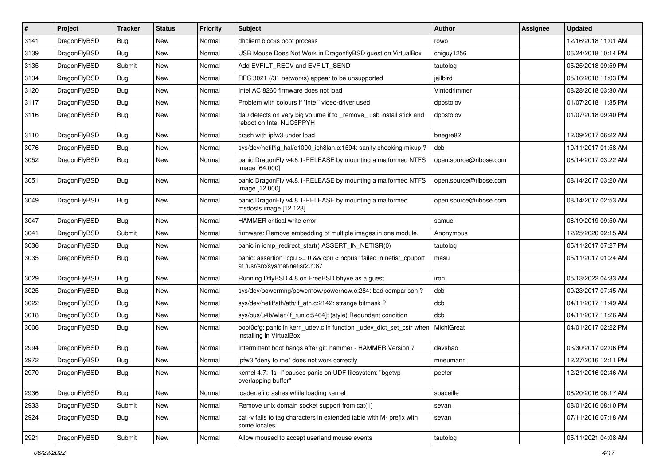| $\sharp$ | Project      | <b>Tracker</b> | <b>Status</b> | <b>Priority</b> | <b>Subject</b>                                                                                          | <b>Author</b>          | Assignee | <b>Updated</b>      |
|----------|--------------|----------------|---------------|-----------------|---------------------------------------------------------------------------------------------------------|------------------------|----------|---------------------|
| 3141     | DragonFlyBSD | Bug            | New           | Normal          | dhclient blocks boot process                                                                            | rowo                   |          | 12/16/2018 11:01 AM |
| 3139     | DragonFlyBSD | Bug            | <b>New</b>    | Normal          | USB Mouse Does Not Work in DragonflyBSD guest on VirtualBox                                             | chiguy1256             |          | 06/24/2018 10:14 PM |
| 3135     | DragonFlyBSD | Submit         | New           | Normal          | Add EVFILT_RECV and EVFILT_SEND                                                                         | tautolog               |          | 05/25/2018 09:59 PM |
| 3134     | DragonFlyBSD | <b>Bug</b>     | New           | Normal          | RFC 3021 (/31 networks) appear to be unsupported                                                        | jailbird               |          | 05/16/2018 11:03 PM |
| 3120     | DragonFlyBSD | Bug            | <b>New</b>    | Normal          | Intel AC 8260 firmware does not load                                                                    | Vintodrimmer           |          | 08/28/2018 03:30 AM |
| 3117     | DragonFlyBSD | <b>Bug</b>     | New           | Normal          | Problem with colours if "intel" video-driver used                                                       | dpostolov              |          | 01/07/2018 11:35 PM |
| 3116     | DragonFlyBSD | <b>Bug</b>     | <b>New</b>    | Normal          | da0 detects on very big volume if to _remove_ usb install stick and<br>reboot on Intel NUC5PPYH         | dpostolov              |          | 01/07/2018 09:40 PM |
| 3110     | DragonFlyBSD | Bug            | <b>New</b>    | Normal          | crash with ipfw3 under load                                                                             | bnegre82               |          | 12/09/2017 06:22 AM |
| 3076     | DragonFlyBSD | Bug            | New           | Normal          | sys/dev/netif/ig hal/e1000 ich8lan.c:1594: sanity checking mixup?                                       | dcb                    |          | 10/11/2017 01:58 AM |
| 3052     | DragonFlyBSD | <b>Bug</b>     | <b>New</b>    | Normal          | panic DragonFly v4.8.1-RELEASE by mounting a malformed NTFS<br>image [64.000]                           | open.source@ribose.com |          | 08/14/2017 03:22 AM |
| 3051     | DragonFlyBSD | Bug            | New           | Normal          | panic DragonFly v4.8.1-RELEASE by mounting a malformed NTFS<br>image [12.000]                           | open.source@ribose.com |          | 08/14/2017 03:20 AM |
| 3049     | DragonFlyBSD | Bug            | New           | Normal          | panic DragonFly v4.8.1-RELEASE by mounting a malformed<br>msdosfs image [12.128]                        | open.source@ribose.com |          | 08/14/2017 02:53 AM |
| 3047     | DragonFlyBSD | Bug            | <b>New</b>    | Normal          | <b>HAMMER</b> critical write error                                                                      | samuel                 |          | 06/19/2019 09:50 AM |
| 3041     | DragonFlyBSD | Submit         | New           | Normal          | firmware: Remove embedding of multiple images in one module.                                            | Anonymous              |          | 12/25/2020 02:15 AM |
| 3036     | DragonFlyBSD | Bug            | New           | Normal          | panic in icmp_redirect_start() ASSERT_IN_NETISR(0)                                                      | tautolog               |          | 05/11/2017 07:27 PM |
| 3035     | DragonFlyBSD | <b>Bug</b>     | New           | Normal          | panic: assertion "cpu >= 0 && cpu < ncpus" failed in netisr_cpuport<br>at /usr/src/sys/net/netisr2.h:87 | masu                   |          | 05/11/2017 01:24 AM |
| 3029     | DragonFlyBSD | <b>Bug</b>     | <b>New</b>    | Normal          | Running DflyBSD 4.8 on FreeBSD bhyve as a guest                                                         | iron                   |          | 05/13/2022 04:33 AM |
| 3025     | DragonFlyBSD | <b>Bug</b>     | <b>New</b>    | Normal          | sys/dev/powermng/powernow/powernow.c:284: bad comparison?                                               | dcb                    |          | 09/23/2017 07:45 AM |
| 3022     | DragonFlyBSD | <b>Bug</b>     | New           | Normal          | sys/dev/netif/ath/ath/if_ath.c:2142: strange bitmask?                                                   | dcb                    |          | 04/11/2017 11:49 AM |
| 3018     | DragonFlyBSD | <b>Bug</b>     | <b>New</b>    | Normal          | sys/bus/u4b/wlan/if_run.c:5464]: (style) Redundant condition                                            | dcb                    |          | 04/11/2017 11:26 AM |
| 3006     | DragonFlyBSD | Bug            | New           | Normal          | boot0cfg: panic in kern_udev.c in function _udev_dict_set_cstr when<br>installing in VirtualBox         | MichiGreat             |          | 04/01/2017 02:22 PM |
| 2994     | DragonFlyBSD | Bug            | <b>New</b>    | Normal          | Intermittent boot hangs after git: hammer - HAMMER Version 7                                            | davshao                |          | 03/30/2017 02:06 PM |
| 2972     | DragonFlyBSD | Bug            | New           | Normal          | ipfw3 "deny to me" does not work correctly                                                              | mneumann               |          | 12/27/2016 12:11 PM |
| 2970     | DragonFlyBSD | <b>Bug</b>     | <b>New</b>    | Normal          | kernel 4.7: "Is -I" causes panic on UDF filesystem: "bgetvp -<br>overlapping buffer"                    | peeter                 |          | 12/21/2016 02:46 AM |
| 2936     | DragonFlyBSD | <b>Bug</b>     | <b>New</b>    | Normal          | loader.efi crashes while loading kernel                                                                 | spaceille              |          | 08/20/2016 06:17 AM |
| 2933     | DragonFlyBSD | Submit         | New           | Normal          | Remove unix domain socket support from cat(1)                                                           | sevan                  |          | 08/01/2016 08:10 PM |
| 2924     | DragonFlyBSD | <b>Bug</b>     | New           | Normal          | cat -v fails to tag characters in extended table with M- prefix with<br>some locales                    | sevan                  |          | 07/11/2016 07:18 AM |
| 2921     | DragonFlyBSD | Submit         | New           | Normal          | Allow moused to accept userland mouse events                                                            | tautolog               |          | 05/11/2021 04:08 AM |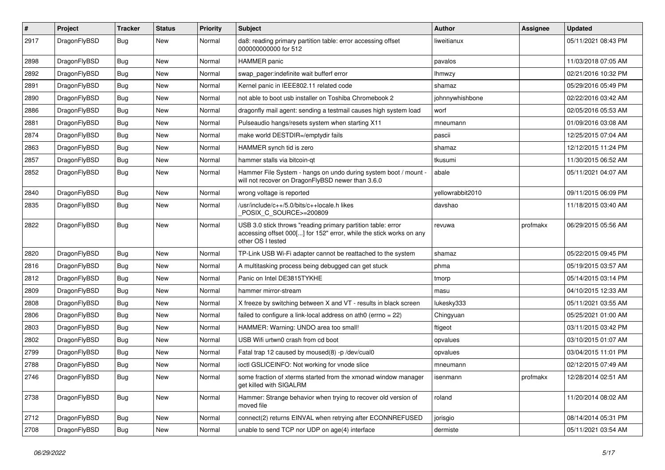| $\pmb{\#}$ | Project      | <b>Tracker</b> | <b>Status</b> | <b>Priority</b> | Subject                                                                                                                                                  | <b>Author</b>    | Assignee | <b>Updated</b>      |
|------------|--------------|----------------|---------------|-----------------|----------------------------------------------------------------------------------------------------------------------------------------------------------|------------------|----------|---------------------|
| 2917       | DragonFlyBSD | Bug            | New           | Normal          | da8: reading primary partition table: error accessing offset<br>000000000000 for 512                                                                     | liweitianux      |          | 05/11/2021 08:43 PM |
| 2898       | DragonFlyBSD | <b>Bug</b>     | <b>New</b>    | Normal          | HAMMER panic                                                                                                                                             | pavalos          |          | 11/03/2018 07:05 AM |
| 2892       | DragonFlyBSD | Bug            | New           | Normal          | swap pager:indefinite wait bufferf error                                                                                                                 | lhmwzy           |          | 02/21/2016 10:32 PM |
| 2891       | DragonFlyBSD | <b>Bug</b>     | <b>New</b>    | Normal          | Kernel panic in IEEE802.11 related code                                                                                                                  | shamaz           |          | 05/29/2016 05:49 PM |
| 2890       | DragonFlyBSD | Bug            | <b>New</b>    | Normal          | not able to boot usb installer on Toshiba Chromebook 2                                                                                                   | johnnywhishbone  |          | 02/22/2016 03:42 AM |
| 2886       | DragonFlyBSD | Bug            | <b>New</b>    | Normal          | dragonfly mail agent: sending a testmail causes high system load                                                                                         | worf             |          | 02/05/2016 05:53 AM |
| 2881       | DragonFlyBSD | Bug            | New           | Normal          | Pulseaudio hangs/resets system when starting X11                                                                                                         | mneumann         |          | 01/09/2016 03:08 AM |
| 2874       | DragonFlyBSD | Bug            | New           | Normal          | make world DESTDIR=/emptydir fails                                                                                                                       | pascii           |          | 12/25/2015 07:04 AM |
| 2863       | DragonFlyBSD | Bug            | <b>New</b>    | Normal          | HAMMER synch tid is zero                                                                                                                                 | shamaz           |          | 12/12/2015 11:24 PM |
| 2857       | DragonFlyBSD | <b>Bug</b>     | New           | Normal          | hammer stalls via bitcoin-gt                                                                                                                             | tkusumi          |          | 11/30/2015 06:52 AM |
| 2852       | DragonFlyBSD | Bug            | New           | Normal          | Hammer File System - hangs on undo during system boot / mount -<br>will not recover on DragonFlyBSD newer than 3.6.0                                     | abale            |          | 05/11/2021 04:07 AM |
| 2840       | DragonFlyBSD | Bug            | <b>New</b>    | Normal          | wrong voltage is reported                                                                                                                                | yellowrabbit2010 |          | 09/11/2015 06:09 PM |
| 2835       | DragonFlyBSD | Bug            | New           | Normal          | /usr/include/c++/5.0/bits/c++locale.h likes<br>POSIX_C_SOURCE>=200809                                                                                    | davshao          |          | 11/18/2015 03:40 AM |
| 2822       | DragonFlyBSD | Bug            | New           | Normal          | USB 3.0 stick throws "reading primary partition table: error<br>accessing offset 000[] for 152" error, while the stick works on any<br>other OS I tested | revuwa           | profmakx | 06/29/2015 05:56 AM |
| 2820       | DragonFlyBSD | Bug            | <b>New</b>    | Normal          | TP-Link USB Wi-Fi adapter cannot be reattached to the system                                                                                             | shamaz           |          | 05/22/2015 09:45 PM |
| 2816       | DragonFlyBSD | Bug            | <b>New</b>    | Normal          | A multitasking process being debugged can get stuck                                                                                                      | phma             |          | 05/19/2015 03:57 AM |
| 2812       | DragonFlyBSD | Bug            | <b>New</b>    | Normal          | Panic on Intel DE3815TYKHE                                                                                                                               | tmorp            |          | 05/14/2015 03:14 PM |
| 2809       | DragonFlyBSD | Bug            | <b>New</b>    | Normal          | hammer mirror-stream                                                                                                                                     | masu             |          | 04/10/2015 12:33 AM |
| 2808       | DragonFlyBSD | Bug            | New           | Normal          | X freeze by switching between X and VT - results in black screen                                                                                         | lukesky333       |          | 05/11/2021 03:55 AM |
| 2806       | DragonFlyBSD | Bug            | <b>New</b>    | Normal          | failed to configure a link-local address on ath $0$ (errno = 22)                                                                                         | Chingyuan        |          | 05/25/2021 01:00 AM |
| 2803       | DragonFlyBSD | Bug            | <b>New</b>    | Normal          | HAMMER: Warning: UNDO area too small!                                                                                                                    | ftigeot          |          | 03/11/2015 03:42 PM |
| 2802       | DragonFlyBSD | Bug            | New           | Normal          | USB Wifi urtwn0 crash from cd boot                                                                                                                       | opvalues         |          | 03/10/2015 01:07 AM |
| 2799       | DragonFlyBSD | Bug            | <b>New</b>    | Normal          | Fatal trap 12 caused by moused(8) -p /dev/cual0                                                                                                          | opvalues         |          | 03/04/2015 11:01 PM |
| 2788       | DragonFlyBSD | Bug            | New           | Normal          | ioctl GSLICEINFO: Not working for vnode slice                                                                                                            | mneumann         |          | 02/12/2015 07:49 AM |
| 2746       | DragonFlyBSD | <b>Bug</b>     | New           | Normal          | some fraction of xterms started from the xmonad window manager<br>get killed with SIGALRM                                                                | isenmann         | profmakx | 12/28/2014 02:51 AM |
| 2738       | DragonFlyBSD | Bug            | New           | Normal          | Hammer: Strange behavior when trying to recover old version of<br>moved file                                                                             | roland           |          | 11/20/2014 08:02 AM |
| 2712       | DragonFlyBSD | Bug            | New           | Normal          | connect(2) returns EINVAL when retrying after ECONNREFUSED                                                                                               | jorisgio         |          | 08/14/2014 05:31 PM |
| 2708       | DragonFlyBSD | <b>Bug</b>     | New           | Normal          | unable to send TCP nor UDP on age(4) interface                                                                                                           | dermiste         |          | 05/11/2021 03:54 AM |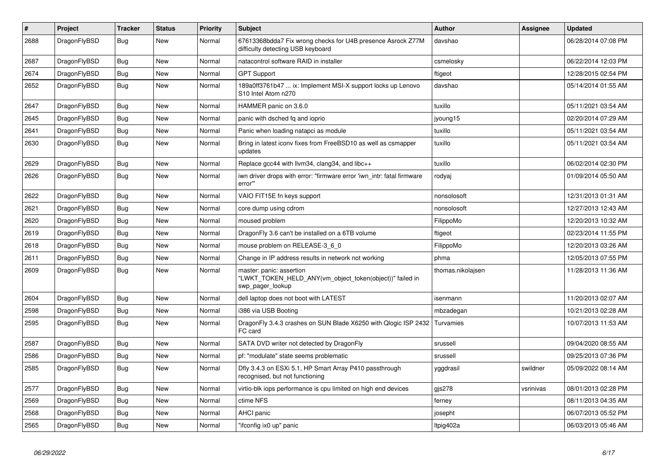| $\vert$ # | Project      | <b>Tracker</b> | <b>Status</b> | <b>Priority</b> | <b>Subject</b>                                                                                           | <b>Author</b>     | Assignee  | <b>Updated</b>      |
|-----------|--------------|----------------|---------------|-----------------|----------------------------------------------------------------------------------------------------------|-------------------|-----------|---------------------|
| 2688      | DragonFlyBSD | Bug            | <b>New</b>    | Normal          | 67613368bdda7 Fix wrong checks for U4B presence Asrock Z77M<br>difficulty detecting USB keyboard         | davshao           |           | 06/28/2014 07:08 PM |
| 2687      | DragonFlyBSD | Bug            | <b>New</b>    | Normal          | natacontrol software RAID in installer                                                                   | csmelosky         |           | 06/22/2014 12:03 PM |
| 2674      | DragonFlyBSD | <b>Bug</b>     | <b>New</b>    | Normal          | <b>GPT Support</b>                                                                                       | ftigeot           |           | 12/28/2015 02:54 PM |
| 2652      | DragonFlyBSD | <b>Bug</b>     | <b>New</b>    | Normal          | 189a0ff3761b47  ix: Implement MSI-X support locks up Lenovo<br>S10 Intel Atom n270                       | davshao           |           | 05/14/2014 01:55 AM |
| 2647      | DragonFlyBSD | <b>Bug</b>     | <b>New</b>    | Normal          | HAMMER panic on 3.6.0                                                                                    | tuxillo           |           | 05/11/2021 03:54 AM |
| 2645      | DragonFlyBSD | <b>Bug</b>     | <b>New</b>    | Normal          | panic with dsched fq and ioprio                                                                          | jyoung15          |           | 02/20/2014 07:29 AM |
| 2641      | DragonFlyBSD | Bug            | <b>New</b>    | Normal          | Panic when loading natapci as module                                                                     | tuxillo           |           | 05/11/2021 03:54 AM |
| 2630      | DragonFlyBSD | <b>Bug</b>     | <b>New</b>    | Normal          | Bring in latest iconv fixes from FreeBSD10 as well as csmapper<br>updates                                | tuxillo           |           | 05/11/2021 03:54 AM |
| 2629      | DragonFlyBSD | Bug            | <b>New</b>    | Normal          | Replace gcc44 with llvm34, clang34, and libc++                                                           | tuxillo           |           | 06/02/2014 02:30 PM |
| 2626      | DragonFlyBSD | <b>Bug</b>     | <b>New</b>    | Normal          | iwn driver drops with error: "firmware error 'iwn_intr: fatal firmware<br>error""                        | rodyaj            |           | 01/09/2014 05:50 AM |
| 2622      | DragonFlyBSD | Bug            | <b>New</b>    | Normal          | VAIO FIT15E fn keys support                                                                              | nonsolosoft       |           | 12/31/2013 01:31 AM |
| 2621      | DragonFlyBSD | <b>Bug</b>     | <b>New</b>    | Normal          | core dump using cdrom                                                                                    | nonsolosoft       |           | 12/27/2013 12:43 AM |
| 2620      | DragonFlyBSD | <b>Bug</b>     | <b>New</b>    | Normal          | moused problem                                                                                           | FilippoMo         |           | 12/20/2013 10:32 AM |
| 2619      | DragonFlyBSD | Bug            | <b>New</b>    | Normal          | DragonFly 3.6 can't be installed on a 6TB volume                                                         | ftigeot           |           | 02/23/2014 11:55 PM |
| 2618      | DragonFlyBSD | <b>Bug</b>     | <b>New</b>    | Normal          | mouse problem on RELEASE-3_6_0                                                                           | FilippoMo         |           | 12/20/2013 03:26 AM |
| 2611      | DragonFlyBSD | <b>Bug</b>     | <b>New</b>    | Normal          | Change in IP address results in network not working                                                      | phma              |           | 12/05/2013 07:55 PM |
| 2609      | DragonFlyBSD | Bug            | <b>New</b>    | Normal          | master: panic: assertion<br>"LWKT_TOKEN_HELD_ANY(vm_object_token(object))" failed in<br>swp pager lookup | thomas.nikolajsen |           | 11/28/2013 11:36 AM |
| 2604      | DragonFlyBSD | Bug            | New           | Normal          | dell laptop does not boot with LATEST                                                                    | isenmann          |           | 11/20/2013 02:07 AM |
| 2598      | DragonFlyBSD | <b>Bug</b>     | <b>New</b>    | Normal          | i386 via USB Booting                                                                                     | mbzadegan         |           | 10/21/2013 02:28 AM |
| 2595      | DragonFlyBSD | <b>Bug</b>     | New           | Normal          | DragonFly 3.4.3 crashes on SUN Blade X6250 with Qlogic ISP 2432<br>FC card                               | Turvamies         |           | 10/07/2013 11:53 AM |
| 2587      | DragonFlyBSD | Bug            | <b>New</b>    | Normal          | SATA DVD writer not detected by DragonFly                                                                | srussell          |           | 09/04/2020 08:55 AM |
| 2586      | DragonFlyBSD | <b>Bug</b>     | New           | Normal          | pf: "modulate" state seems problematic                                                                   | srussell          |           | 09/25/2013 07:36 PM |
| 2585      | DragonFlyBSD | Bug            | <b>New</b>    | Normal          | Dfly 3.4.3 on ESXi 5.1, HP Smart Array P410 passthrough<br>recognised, but not functioning               | yggdrasil         | swildner  | 05/09/2022 08:14 AM |
| 2577      | DragonFlyBSD | <b>Bug</b>     | <b>New</b>    | Normal          | virtio-blk iops performance is cpu limited on high end devices                                           | $g$ js278         | vsrinivas | 08/01/2013 02:28 PM |
| 2569      | DragonFlyBSD | Bug            | New           | Normal          | ctime NFS                                                                                                | ferney            |           | 08/11/2013 04:35 AM |
| 2568      | DragonFlyBSD | Bug            | <b>New</b>    | Normal          | <b>AHCI</b> panic                                                                                        | josepht           |           | 06/07/2013 05:52 PM |
| 2565      | DragonFlyBSD | Bug            | New           | Normal          | "ifconfig ix0 up" panic                                                                                  | Itpig402a         |           | 06/03/2013 05:46 AM |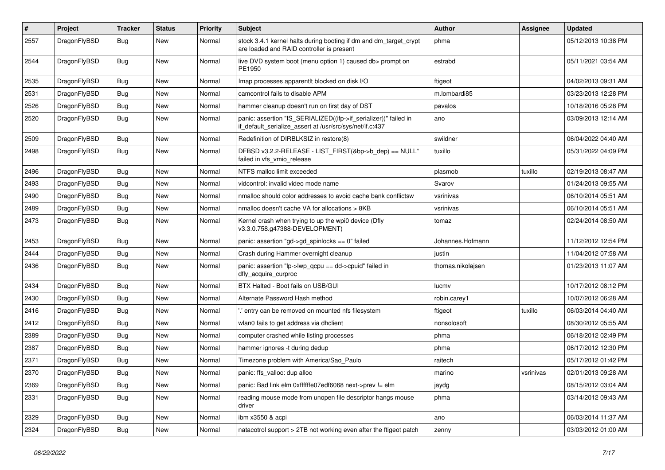| $\#$ | Project      | <b>Tracker</b> | <b>Status</b> | <b>Priority</b> | Subject                                                                                                                      | <b>Author</b>     | Assignee  | <b>Updated</b>      |
|------|--------------|----------------|---------------|-----------------|------------------------------------------------------------------------------------------------------------------------------|-------------------|-----------|---------------------|
| 2557 | DragonFlyBSD | Bug            | <b>New</b>    | Normal          | stock 3.4.1 kernel halts during booting if dm and dm_target_crypt<br>are loaded and RAID controller is present               | phma              |           | 05/12/2013 10:38 PM |
| 2544 | DragonFlyBSD | <b>Bug</b>     | <b>New</b>    | Normal          | live DVD system boot (menu option 1) caused db> prompt on<br>PE1950                                                          | estrabd           |           | 05/11/2021 03:54 AM |
| 2535 | DragonFlyBSD | Bug            | <b>New</b>    | Normal          | Imap processes apparentit blocked on disk I/O                                                                                | ftigeot           |           | 04/02/2013 09:31 AM |
| 2531 | DragonFlyBSD | <b>Bug</b>     | <b>New</b>    | Normal          | camcontrol fails to disable APM                                                                                              | m.lombardi85      |           | 03/23/2013 12:28 PM |
| 2526 | DragonFlyBSD | <b>Bug</b>     | <b>New</b>    | Normal          | hammer cleanup doesn't run on first day of DST                                                                               | pavalos           |           | 10/18/2016 05:28 PM |
| 2520 | DragonFlyBSD | Bug            | New           | Normal          | panic: assertion "IS_SERIALIZED((ifp->if_serializer))" failed in<br>if_default_serialize_assert at /usr/src/sys/net/if.c:437 | ano               |           | 03/09/2013 12:14 AM |
| 2509 | DragonFlyBSD | <b>Bug</b>     | New           | Normal          | Redefinition of DIRBLKSIZ in restore(8)                                                                                      | swildner          |           | 06/04/2022 04:40 AM |
| 2498 | DragonFlyBSD | <b>Bug</b>     | <b>New</b>    | Normal          | DFBSD v3.2.2-RELEASE - LIST_FIRST(&bp->b_dep) == NULL"<br>failed in vfs_vmio_release                                         | tuxillo           |           | 05/31/2022 04:09 PM |
| 2496 | DragonFlyBSD | Bug            | <b>New</b>    | Normal          | NTFS malloc limit exceeded                                                                                                   | plasmob           | tuxillo   | 02/19/2013 08:47 AM |
| 2493 | DragonFlyBSD | <b>Bug</b>     | <b>New</b>    | Normal          | vidcontrol: invalid video mode name                                                                                          | Svarov            |           | 01/24/2013 09:55 AM |
| 2490 | DragonFlyBSD | <b>Bug</b>     | <b>New</b>    | Normal          | nmalloc should color addresses to avoid cache bank conflictsw                                                                | vsrinivas         |           | 06/10/2014 05:51 AM |
| 2489 | DragonFlyBSD | <b>Bug</b>     | New           | Normal          | nmalloc doesn't cache VA for allocations > 8KB                                                                               | vsrinivas         |           | 06/10/2014 05:51 AM |
| 2473 | DragonFlyBSD | <b>Bug</b>     | New           | Normal          | Kernel crash when trying to up the wpi0 device (Dfly<br>v3.3.0.758.g47388-DEVELOPMENT)                                       | tomaz             |           | 02/24/2014 08:50 AM |
| 2453 | DragonFlyBSD | Bug            | <b>New</b>    | Normal          | panic: assertion "gd->gd_spinlocks == 0" failed                                                                              | Johannes.Hofmann  |           | 11/12/2012 12:54 PM |
| 2444 | DragonFlyBSD | <b>Bug</b>     | <b>New</b>    | Normal          | Crash during Hammer overnight cleanup                                                                                        | justin            |           | 11/04/2012 07:58 AM |
| 2436 | DragonFlyBSD | <b>Bug</b>     | <b>New</b>    | Normal          | panic: assertion "lp->lwp_qcpu == dd->cpuid" failed in<br>dfly_acquire_curproc                                               | thomas.nikolajsen |           | 01/23/2013 11:07 AM |
| 2434 | DragonFlyBSD | <b>Bug</b>     | <b>New</b>    | Normal          | BTX Halted - Boot fails on USB/GUI                                                                                           | lucmv             |           | 10/17/2012 08:12 PM |
| 2430 | DragonFlyBSD | <b>Bug</b>     | <b>New</b>    | Normal          | Alternate Password Hash method                                                                                               | robin.carey1      |           | 10/07/2012 06:28 AM |
| 2416 | DragonFlyBSD | <b>Bug</b>     | <b>New</b>    | Normal          | 'entry can be removed on mounted nfs filesystem                                                                              | ftigeot           | tuxillo   | 06/03/2014 04:40 AM |
| 2412 | DragonFlyBSD | <b>Bug</b>     | <b>New</b>    | Normal          | wlan0 fails to get address via dhclient                                                                                      | nonsolosoft       |           | 08/30/2012 05:55 AM |
| 2389 | DragonFlyBSD | <b>Bug</b>     | <b>New</b>    | Normal          | computer crashed while listing processes                                                                                     | phma              |           | 06/18/2012 02:49 PM |
| 2387 | DragonFlyBSD | <b>Bug</b>     | New           | Normal          | hammer ignores -t during dedup                                                                                               | phma              |           | 06/17/2012 12:30 PM |
| 2371 | DragonFlyBSD | <b>Bug</b>     | <b>New</b>    | Normal          | Timezone problem with America/Sao_Paulo                                                                                      | raitech           |           | 05/17/2012 01:42 PM |
| 2370 | DragonFlyBSD | <b>Bug</b>     | <b>New</b>    | Normal          | panic: ffs_valloc: dup alloc                                                                                                 | marino            | vsrinivas | 02/01/2013 09:28 AM |
| 2369 | DragonFlyBSD | <b>Bug</b>     | New           | Normal          | panic: Bad link elm 0xffffffe07edf6068 next->prev != elm                                                                     | jaydg             |           | 08/15/2012 03:04 AM |
| 2331 | DragonFlyBSD | <b>Bug</b>     | New           | Normal          | reading mouse mode from unopen file descriptor hangs mouse<br>driver                                                         | phma              |           | 03/14/2012 09:43 AM |
| 2329 | DragonFlyBSD | <b>Bug</b>     | New           | Normal          | ibm x3550 & acpi                                                                                                             | ano               |           | 06/03/2014 11:37 AM |
| 2324 | DragonFlyBSD | Bug            | New           | Normal          | natacotrol support > 2TB not working even after the ftigeot patch                                                            | zenny             |           | 03/03/2012 01:00 AM |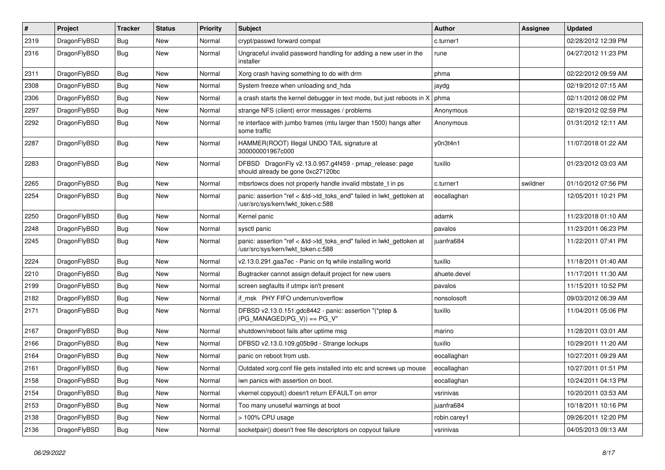| $\sharp$ | Project      | <b>Tracker</b> | <b>Status</b> | <b>Priority</b> | <b>Subject</b>                                                                                             | Author       | Assignee | <b>Updated</b>      |
|----------|--------------|----------------|---------------|-----------------|------------------------------------------------------------------------------------------------------------|--------------|----------|---------------------|
| 2319     | DragonFlyBSD | <b>Bug</b>     | New           | Normal          | crypt/passwd forward compat                                                                                | c.turner1    |          | 02/28/2012 12:39 PM |
| 2316     | DragonFlyBSD | Bug            | New           | Normal          | Ungraceful invalid password handling for adding a new user in the<br>installer                             | rune         |          | 04/27/2012 11:23 PM |
| 2311     | DragonFlyBSD | Bug            | New           | Normal          | Xorg crash having something to do with drm                                                                 | phma         |          | 02/22/2012 09:59 AM |
| 2308     | DragonFlyBSD | Bug            | New           | Normal          | System freeze when unloading snd_hda                                                                       | jaydg        |          | 02/19/2012 07:15 AM |
| 2306     | DragonFlyBSD | <b>Bug</b>     | New           | Normal          | a crash starts the kernel debugger in text mode, but just reboots in X                                     | phma         |          | 02/11/2012 08:02 PM |
| 2297     | DragonFlyBSD | <b>Bug</b>     | New           | Normal          | strange NFS (client) error messages / problems                                                             | Anonymous    |          | 02/19/2012 02:59 PM |
| 2292     | DragonFlyBSD | Bug            | <b>New</b>    | Normal          | re interface with jumbo frames (mtu larger than 1500) hangs after<br>some traffic                          | Anonymous    |          | 01/31/2012 12:11 AM |
| 2287     | DragonFlyBSD | <b>Bug</b>     | New           | Normal          | HAMMER(ROOT) Illegal UNDO TAIL signature at<br>300000001967c000                                            | y0n3t4n1     |          | 11/07/2018 01:22 AM |
| 2283     | DragonFlyBSD | Bug            | New           | Normal          | DFBSD DragonFly v2.13.0.957.g4f459 - pmap_release: page<br>should already be gone 0xc27120bc               | tuxillo      |          | 01/23/2012 03:03 AM |
| 2265     | DragonFlyBSD | Bug            | <b>New</b>    | Normal          | mbsrtowcs does not properly handle invalid mbstate_t in ps                                                 | c.turner1    | swildner | 01/10/2012 07:56 PM |
| 2254     | DragonFlyBSD | <b>Bug</b>     | New           | Normal          | panic: assertion "ref < &td->td_toks_end" failed in lwkt_gettoken at<br>/usr/src/sys/kern/lwkt_token.c:588 | eocallaghan  |          | 12/05/2011 10:21 PM |
| 2250     | DragonFlyBSD | Bug            | <b>New</b>    | Normal          | Kernel panic                                                                                               | adamk        |          | 11/23/2018 01:10 AM |
| 2248     | DragonFlyBSD | <b>Bug</b>     | <b>New</b>    | Normal          | sysctl panic                                                                                               | pavalos      |          | 11/23/2011 06:23 PM |
| 2245     | DragonFlyBSD | <b>Bug</b>     | <b>New</b>    | Normal          | panic: assertion "ref < &td->td_toks_end" failed in lwkt_gettoken at<br>/usr/src/sys/kern/lwkt_token.c:588 | juanfra684   |          | 11/22/2011 07:41 PM |
| 2224     | DragonFlyBSD | Bug            | <b>New</b>    | Normal          | v2.13.0.291.gaa7ec - Panic on fq while installing world                                                    | tuxillo      |          | 11/18/2011 01:40 AM |
| 2210     | DragonFlyBSD | <b>Bug</b>     | New           | Normal          | Bugtracker cannot assign default project for new users                                                     | ahuete.devel |          | 11/17/2011 11:30 AM |
| 2199     | DragonFlyBSD | <b>Bug</b>     | New           | Normal          | screen segfaults if utmpx isn't present                                                                    | pavalos      |          | 11/15/2011 10:52 PM |
| 2182     | DragonFlyBSD | <b>Bug</b>     | New           | Normal          | if msk PHY FIFO underrun/overflow                                                                          | nonsolosoft  |          | 09/03/2012 06:39 AM |
| 2171     | DragonFlyBSD | <b>Bug</b>     | <b>New</b>    | Normal          | DFBSD v2.13.0.151.gdc8442 - panic: assertion "(*ptep &<br>$(PG_MANAGED PG_V)) == PG_V"$                    | tuxillo      |          | 11/04/2011 05:06 PM |
| 2167     | DragonFlyBSD | <b>Bug</b>     | New           | Normal          | shutdown/reboot fails after uptime msg                                                                     | marino       |          | 11/28/2011 03:01 AM |
| 2166     | DragonFlyBSD | <b>Bug</b>     | New           | Normal          | DFBSD v2.13.0.109.g05b9d - Strange lockups                                                                 | tuxillo      |          | 10/29/2011 11:20 AM |
| 2164     | DragonFlyBSD | <b>Bug</b>     | <b>New</b>    | Normal          | panic on reboot from usb.                                                                                  | eocallaghan  |          | 10/27/2011 09:29 AM |
| 2161     | DragonFlyBSD | Bug            | New           | Normal          | Outdated xorg.conf file gets installed into etc and screws up mouse                                        | eocallaghan  |          | 10/27/2011 01:51 PM |
| 2158     | DragonFlyBSD | <b>Bug</b>     | New           | Normal          | iwn panics with assertion on boot.                                                                         | eocallaghan  |          | 10/24/2011 04:13 PM |
| 2154     | DragonFlyBSD | <b>Bug</b>     | New           | Normal          | vkernel copyout() doesn't return EFAULT on error                                                           | vsrinivas    |          | 10/20/2011 03:53 AM |
| 2153     | DragonFlyBSD | <b>Bug</b>     | New           | Normal          | Too many unuseful warnings at boot                                                                         | juanfra684   |          | 10/18/2011 10:16 PM |
| 2138     | DragonFlyBSD | <b>Bug</b>     | New           | Normal          | > 100% CPU usage                                                                                           | robin.carey1 |          | 09/26/2011 12:20 PM |
| 2136     | DragonFlyBSD | <b>Bug</b>     | New           | Normal          | socketpair() doesn't free file descriptors on copyout failure                                              | vsrinivas    |          | 04/05/2013 09:13 AM |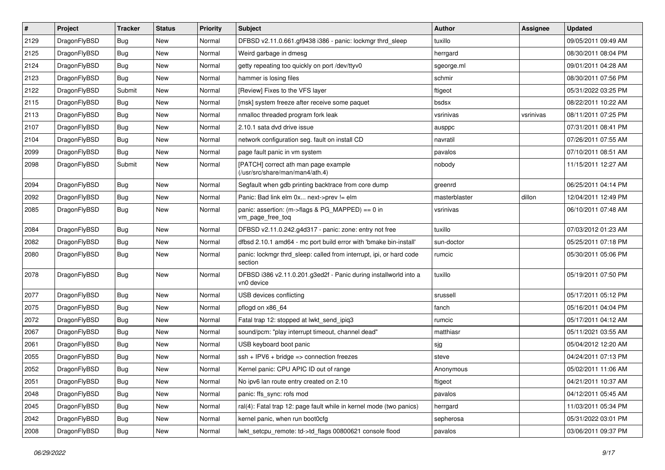| $\sharp$ | Project      | <b>Tracker</b> | <b>Status</b> | <b>Priority</b> | <b>Subject</b>                                                                 | Author        | <b>Assignee</b> | <b>Updated</b>      |
|----------|--------------|----------------|---------------|-----------------|--------------------------------------------------------------------------------|---------------|-----------------|---------------------|
| 2129     | DragonFlyBSD | <b>Bug</b>     | New           | Normal          | DFBSD v2.11.0.661.gf9438 i386 - panic: lockmgr thrd_sleep                      | tuxillo       |                 | 09/05/2011 09:49 AM |
| 2125     | DragonFlyBSD | <b>Bug</b>     | <b>New</b>    | Normal          | Weird garbage in dmesg                                                         | herrgard      |                 | 08/30/2011 08:04 PM |
| 2124     | DragonFlyBSD | <b>Bug</b>     | <b>New</b>    | Normal          | getty repeating too quickly on port /dev/ttyv0                                 | sgeorge.ml    |                 | 09/01/2011 04:28 AM |
| 2123     | DragonFlyBSD | <b>Bug</b>     | New           | Normal          | hammer is losing files                                                         | schmir        |                 | 08/30/2011 07:56 PM |
| 2122     | DragonFlyBSD | Submit         | New           | Normal          | [Review] Fixes to the VFS layer                                                | ftigeot       |                 | 05/31/2022 03:25 PM |
| 2115     | DragonFlyBSD | Bug            | New           | Normal          | [msk] system freeze after receive some paquet                                  | bsdsx         |                 | 08/22/2011 10:22 AM |
| 2113     | DragonFlyBSD | <b>Bug</b>     | New           | Normal          | nmalloc threaded program fork leak                                             | vsrinivas     | vsrinivas       | 08/11/2011 07:25 PM |
| 2107     | DragonFlyBSD | <b>Bug</b>     | New           | Normal          | 2.10.1 sata dvd drive issue                                                    | ausppc        |                 | 07/31/2011 08:41 PM |
| 2104     | DragonFlyBSD | <b>Bug</b>     | New           | Normal          | network configuration seg. fault on install CD                                 | navratil      |                 | 07/26/2011 07:55 AM |
| 2099     | DragonFlyBSD | <b>Bug</b>     | <b>New</b>    | Normal          | page fault panic in vm system                                                  | pavalos       |                 | 07/10/2011 08:51 AM |
| 2098     | DragonFlyBSD | Submit         | New           | Normal          | [PATCH] correct ath man page example<br>(/usr/src/share/man/man4/ath.4)        | nobody        |                 | 11/15/2011 12:27 AM |
| 2094     | DragonFlyBSD | <b>Bug</b>     | <b>New</b>    | Normal          | Segfault when gdb printing backtrace from core dump                            | greenrd       |                 | 06/25/2011 04:14 PM |
| 2092     | DragonFlyBSD | <b>Bug</b>     | <b>New</b>    | Normal          | Panic: Bad link elm 0x next->prev != elm                                       | masterblaster | dillon          | 12/04/2011 12:49 PM |
| 2085     | DragonFlyBSD | <b>Bug</b>     | New           | Normal          | panic: assertion: (m->flags & PG_MAPPED) == 0 in<br>vm_page_free_toq           | vsrinivas     |                 | 06/10/2011 07:48 AM |
| 2084     | DragonFlyBSD | <b>Bug</b>     | <b>New</b>    | Normal          | DFBSD v2.11.0.242.g4d317 - panic: zone: entry not free                         | tuxillo       |                 | 07/03/2012 01:23 AM |
| 2082     | DragonFlyBSD | <b>Bug</b>     | <b>New</b>    | Normal          | dfbsd 2.10.1 amd64 - mc port build error with 'bmake bin-install'              | sun-doctor    |                 | 05/25/2011 07:18 PM |
| 2080     | DragonFlyBSD | <b>Bug</b>     | New           | Normal          | panic: lockmgr thrd sleep: called from interrupt, ipi, or hard code<br>section | rumcic        |                 | 05/30/2011 05:06 PM |
| 2078     | DragonFlyBSD | <b>Bug</b>     | New           | Normal          | DFBSD i386 v2.11.0.201.g3ed2f - Panic during installworld into a<br>vn0 device | tuxillo       |                 | 05/19/2011 07:50 PM |
| 2077     | DragonFlyBSD | Bug            | <b>New</b>    | Normal          | USB devices conflicting                                                        | srussell      |                 | 05/17/2011 05:12 PM |
| 2075     | DragonFlyBSD | <b>Bug</b>     | New           | Normal          | pflogd on x86 64                                                               | fanch         |                 | 05/16/2011 04:04 PM |
| 2072     | DragonFlyBSD | <b>Bug</b>     | <b>New</b>    | Normal          | Fatal trap 12: stopped at lwkt_send_ipiq3                                      | rumcic        |                 | 05/17/2011 04:12 AM |
| 2067     | DragonFlyBSD | Bug            | New           | Normal          | sound/pcm: "play interrupt timeout, channel dead"                              | matthiasr     |                 | 05/11/2021 03:55 AM |
| 2061     | DragonFlyBSD | <b>Bug</b>     | New           | Normal          | USB keyboard boot panic                                                        | sjg           |                 | 05/04/2012 12:20 AM |
| 2055     | DragonFlyBSD | <b>Bug</b>     | <b>New</b>    | Normal          | $ssh + IPV6 + bridge \Rightarrow connection freezes$                           | steve         |                 | 04/24/2011 07:13 PM |
| 2052     | DragonFlyBSD | Bug            | New           | Normal          | Kernel panic: CPU APIC ID out of range                                         | Anonymous     |                 | 05/02/2011 11:06 AM |
| 2051     | DragonFlyBSD | <b>Bug</b>     | New           | Normal          | No ipv6 lan route entry created on 2.10                                        | ftigeot       |                 | 04/21/2011 10:37 AM |
| 2048     | DragonFlyBSD | <b>Bug</b>     | <b>New</b>    | Normal          | panic: ffs_sync: rofs mod                                                      | pavalos       |                 | 04/12/2011 05:45 AM |
| 2045     | DragonFlyBSD | <b>Bug</b>     | New           | Normal          | ral(4): Fatal trap 12: page fault while in kernel mode (two panics)            | herrgard      |                 | 11/03/2011 05:34 PM |
| 2042     | DragonFlyBSD | <b>Bug</b>     | New           | Normal          | kernel panic, when run boot0cfg                                                | sepherosa     |                 | 05/31/2022 03:01 PM |
| 2008     | DragonFlyBSD | <b>Bug</b>     | New           | Normal          | lwkt_setcpu_remote: td->td_flags 00800621 console flood                        | pavalos       |                 | 03/06/2011 09:37 PM |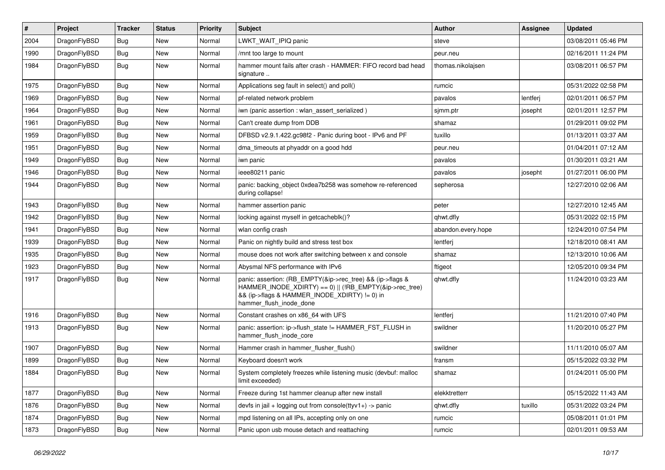| #    | Project      | <b>Tracker</b> | <b>Status</b> | <b>Priority</b> | Subject                                                                                                                                | Author             | Assignee | <b>Updated</b>      |
|------|--------------|----------------|---------------|-----------------|----------------------------------------------------------------------------------------------------------------------------------------|--------------------|----------|---------------------|
| 2004 | DragonFlyBSD | Bug            | <b>New</b>    | Normal          | LWKT_WAIT_IPIQ panic                                                                                                                   | steve              |          | 03/08/2011 05:46 PM |
| 1990 | DragonFlyBSD | Bug            | <b>New</b>    | Normal          | /mnt too large to mount                                                                                                                | peur.neu           |          | 02/16/2011 11:24 PM |
| 1984 | DragonFlyBSD | Bug            | New           | Normal          | hammer mount fails after crash - HAMMER: FIFO record bad head<br>signature                                                             | thomas.nikolajsen  |          | 03/08/2011 06:57 PM |
| 1975 | DragonFlyBSD | <b>Bug</b>     | <b>New</b>    | Normal          | Applications seg fault in select() and poll()                                                                                          | rumcic             |          | 05/31/2022 02:58 PM |
| 1969 | DragonFlyBSD | <b>Bug</b>     | New           | Normal          | pf-related network problem                                                                                                             | pavalos            | lentferj | 02/01/2011 06:57 PM |
| 1964 | DragonFlyBSD | <b>Bug</b>     | <b>New</b>    | Normal          | iwn (panic assertion : wlan assert serialized)                                                                                         | sjmm.ptr           | josepht  | 02/01/2011 12:57 PM |
| 1961 | DragonFlyBSD | <b>Bug</b>     | New           | Normal          | Can't create dump from DDB                                                                                                             | shamaz             |          | 01/29/2011 09:02 PM |
| 1959 | DragonFlyBSD | Bug            | <b>New</b>    | Normal          | DFBSD v2.9.1.422.gc98f2 - Panic during boot - IPv6 and PF                                                                              | tuxillo            |          | 01/13/2011 03:37 AM |
| 1951 | DragonFlyBSD | <b>Bug</b>     | <b>New</b>    | Normal          | dma_timeouts at phyaddr on a good hdd                                                                                                  | peur.neu           |          | 01/04/2011 07:12 AM |
| 1949 | DragonFlyBSD | <b>Bug</b>     | <b>New</b>    | Normal          | iwn panic                                                                                                                              | pavalos            |          | 01/30/2011 03:21 AM |
| 1946 | DragonFlyBSD | Bug            | <b>New</b>    | Normal          | ieee80211 panic                                                                                                                        | pavalos            | josepht  | 01/27/2011 06:00 PM |
| 1944 | DragonFlyBSD | Bug            | New           | Normal          | panic: backing_object 0xdea7b258 was somehow re-referenced<br>during collapse!                                                         | sepherosa          |          | 12/27/2010 02:06 AM |
| 1943 | DragonFlyBSD | Bug            | <b>New</b>    | Normal          | hammer assertion panic                                                                                                                 | peter              |          | 12/27/2010 12:45 AM |
| 1942 | DragonFlyBSD | <b>Bug</b>     | <b>New</b>    | Normal          | locking against myself in getcacheblk()?                                                                                               | qhwt.dfly          |          | 05/31/2022 02:15 PM |
| 1941 | DragonFlyBSD | Bug            | New           | Normal          | wlan config crash                                                                                                                      | abandon.every.hope |          | 12/24/2010 07:54 PM |
| 1939 | DragonFlyBSD | Bug            | <b>New</b>    | Normal          | Panic on nightly build and stress test box                                                                                             | lentferj           |          | 12/18/2010 08:41 AM |
| 1935 | DragonFlyBSD | <b>Bug</b>     | New           | Normal          | mouse does not work after switching between x and console                                                                              | shamaz             |          | 12/13/2010 10:06 AM |
| 1923 | DragonFlyBSD | Bug            | <b>New</b>    | Normal          | Abysmal NFS performance with IPv6                                                                                                      | ftigeot            |          | 12/05/2010 09:34 PM |
| 1917 | DragonFlyBSD | Bug            | New           | Normal          | panic: assertion: (RB_EMPTY(&ip->rec_tree) && (ip->flags &<br>&& (ip->flags & HAMMER_INODE_XDIRTY) != 0) in<br>hammer_flush_inode_done | qhwt.dfly          |          | 11/24/2010 03:23 AM |
| 1916 | DragonFlyBSD | Bug            | <b>New</b>    | Normal          | Constant crashes on x86_64 with UFS                                                                                                    | lentferj           |          | 11/21/2010 07:40 PM |
| 1913 | DragonFlyBSD | Bug            | <b>New</b>    | Normal          | panic: assertion: ip->flush_state != HAMMER_FST_FLUSH in<br>hammer flush inode core                                                    | swildner           |          | 11/20/2010 05:27 PM |
| 1907 | DragonFlyBSD | Bug            | <b>New</b>    | Normal          | Hammer crash in hammer_flusher_flush()                                                                                                 | swildner           |          | 11/11/2010 05:07 AM |
| 1899 | DragonFlyBSD | <b>Bug</b>     | <b>New</b>    | Normal          | Keyboard doesn't work                                                                                                                  | fransm             |          | 05/15/2022 03:32 PM |
| 1884 | DragonFlyBSD | Bug            | New           | Normal          | System completely freezes while listening music (devbuf: malloc<br>limit exceeded)                                                     | shamaz             |          | 01/24/2011 05:00 PM |
| 1877 | DragonFlyBSD | <b>Bug</b>     | New           | Normal          | Freeze during 1st hammer cleanup after new install                                                                                     | elekktretterr      |          | 05/15/2022 11:43 AM |
| 1876 | DragonFlyBSD | <b>Bug</b>     | New           | Normal          | devfs in jail + logging out from console(ttyv1+) -> panic                                                                              | qhwt.dfly          | tuxillo  | 05/31/2022 03:24 PM |
| 1874 | DragonFlyBSD | Bug            | New           | Normal          | mpd listening on all IPs, accepting only on one                                                                                        | rumcic             |          | 05/08/2011 01:01 PM |
| 1873 | DragonFlyBSD | Bug            | New           | Normal          | Panic upon usb mouse detach and reattaching                                                                                            | rumcic             |          | 02/01/2011 09:53 AM |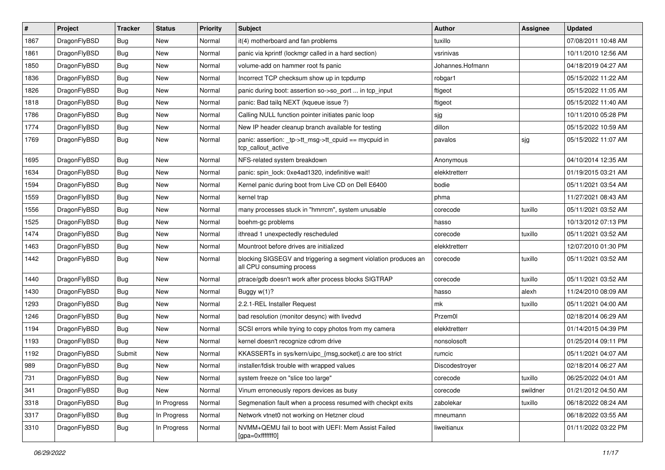| $\vert$ # | Project      | <b>Tracker</b> | <b>Status</b> | <b>Priority</b> | Subject                                                                                      | <b>Author</b>    | Assignee | <b>Updated</b>      |
|-----------|--------------|----------------|---------------|-----------------|----------------------------------------------------------------------------------------------|------------------|----------|---------------------|
| 1867      | DragonFlyBSD | <b>Bug</b>     | New           | Normal          | it(4) motherboard and fan problems                                                           | tuxillo          |          | 07/08/2011 10:48 AM |
| 1861      | DragonFlyBSD | <b>Bug</b>     | New           | Normal          | panic via kprintf (lockmgr called in a hard section)                                         | vsrinivas        |          | 10/11/2010 12:56 AM |
| 1850      | DragonFlyBSD | <b>Bug</b>     | New           | Normal          | volume-add on hammer root fs panic                                                           | Johannes.Hofmann |          | 04/18/2019 04:27 AM |
| 1836      | DragonFlyBSD | <b>Bug</b>     | New           | Normal          | Incorrect TCP checksum show up in tcpdump                                                    | robgar1          |          | 05/15/2022 11:22 AM |
| 1826      | DragonFlyBSD | <b>Bug</b>     | New           | Normal          | panic during boot: assertion so->so_port  in tcp_input                                       | ftigeot          |          | 05/15/2022 11:05 AM |
| 1818      | DragonFlyBSD | <b>Bug</b>     | New           | Normal          | panic: Bad tailg NEXT (kqueue issue ?)                                                       | ftigeot          |          | 05/15/2022 11:40 AM |
| 1786      | DragonFlyBSD | <b>Bug</b>     | <b>New</b>    | Normal          | Calling NULL function pointer initiates panic loop                                           | sjg              |          | 10/11/2010 05:28 PM |
| 1774      | DragonFlyBSD | Bug            | New           | Normal          | New IP header cleanup branch available for testing                                           | dillon           |          | 05/15/2022 10:59 AM |
| 1769      | DragonFlyBSD | Bug            | New           | Normal          | panic: assertion: _tp->tt_msg->tt_cpuid == mycpuid in<br>tcp callout active                  | pavalos          | sjg      | 05/15/2022 11:07 AM |
| 1695      | DragonFlyBSD | <b>Bug</b>     | New           | Normal          | NFS-related system breakdown                                                                 | Anonymous        |          | 04/10/2014 12:35 AM |
| 1634      | DragonFlyBSD | <b>Bug</b>     | New           | Normal          | panic: spin lock: 0xe4ad1320, indefinitive wait!                                             | elekktretterr    |          | 01/19/2015 03:21 AM |
| 1594      | DragonFlyBSD | <b>Bug</b>     | New           | Normal          | Kernel panic during boot from Live CD on Dell E6400                                          | bodie            |          | 05/11/2021 03:54 AM |
| 1559      | DragonFlyBSD | <b>Bug</b>     | New           | Normal          | kernel trap                                                                                  | phma             |          | 11/27/2021 08:43 AM |
| 1556      | DragonFlyBSD | <b>Bug</b>     | New           | Normal          | many processes stuck in "hmrrcm", system unusable                                            | corecode         | tuxillo  | 05/11/2021 03:52 AM |
| 1525      | DragonFlyBSD | <b>Bug</b>     | New           | Normal          | boehm-gc problems                                                                            | hasso            |          | 10/13/2012 07:13 PM |
| 1474      | DragonFlyBSD | <b>Bug</b>     | New           | Normal          | ithread 1 unexpectedly rescheduled                                                           | corecode         | tuxillo  | 05/11/2021 03:52 AM |
| 1463      | DragonFlyBSD | <b>Bug</b>     | New           | Normal          | Mountroot before drives are initialized                                                      | elekktretterr    |          | 12/07/2010 01:30 PM |
| 1442      | DragonFlyBSD | <b>Bug</b>     | New           | Normal          | blocking SIGSEGV and triggering a segment violation produces an<br>all CPU consuming process | corecode         | tuxillo  | 05/11/2021 03:52 AM |
| 1440      | DragonFlyBSD | <b>Bug</b>     | New           | Normal          | ptrace/gdb doesn't work after process blocks SIGTRAP                                         | corecode         | tuxillo  | 05/11/2021 03:52 AM |
| 1430      | DragonFlyBSD | <b>Bug</b>     | New           | Normal          | Buggy w(1)?                                                                                  | hasso            | alexh    | 11/24/2010 08:09 AM |
| 1293      | DragonFlyBSD | <b>Bug</b>     | New           | Normal          | 2.2.1-REL Installer Request                                                                  | mk               | tuxillo  | 05/11/2021 04:00 AM |
| 1246      | DragonFlyBSD | <b>Bug</b>     | New           | Normal          | bad resolution (monitor desync) with livedvd                                                 | Przem0l          |          | 02/18/2014 06:29 AM |
| 1194      | DragonFlyBSD | <b>Bug</b>     | New           | Normal          | SCSI errors while trying to copy photos from my camera                                       | elekktretterr    |          | 01/14/2015 04:39 PM |
| 1193      | DragonFlyBSD | <b>Bug</b>     | New           | Normal          | kernel doesn't recognize cdrom drive                                                         | nonsolosoft      |          | 01/25/2014 09:11 PM |
| 1192      | DragonFlyBSD | Submit         | New           | Normal          | KKASSERTs in sys/kern/uipc_{msg,socket}.c are too strict                                     | rumcic           |          | 05/11/2021 04:07 AM |
| 989       | DragonFlyBSD | <b>Bug</b>     | New           | Normal          | installer/fdisk trouble with wrapped values                                                  | Discodestroyer   |          | 02/18/2014 06:27 AM |
| 731       | DragonFlyBSD | Bug            | New           | Normal          | system freeze on "slice too large"                                                           | corecode         | tuxillo  | 06/25/2022 04:01 AM |
| 341       | DragonFlyBSD | Bug            | New           | Normal          | Vinum erroneously repors devices as busy                                                     | corecode         | swildner | 01/21/2012 04:50 AM |
| 3318      | DragonFlyBSD | <b>Bug</b>     | In Progress   | Normal          | Segmenation fault when a process resumed with checkpt exits                                  | zabolekar        | tuxillo  | 06/18/2022 08:24 AM |
| 3317      | DragonFlyBSD | Bug            | In Progress   | Normal          | Network vtnet0 not working on Hetzner cloud                                                  | mneumann         |          | 06/18/2022 03:55 AM |
| 3310      | DragonFlyBSD | <b>Bug</b>     | In Progress   | Normal          | NVMM+QEMU fail to boot with UEFI: Mem Assist Failed<br>[gpa=0xfffffff0]                      | liweitianux      |          | 01/11/2022 03:22 PM |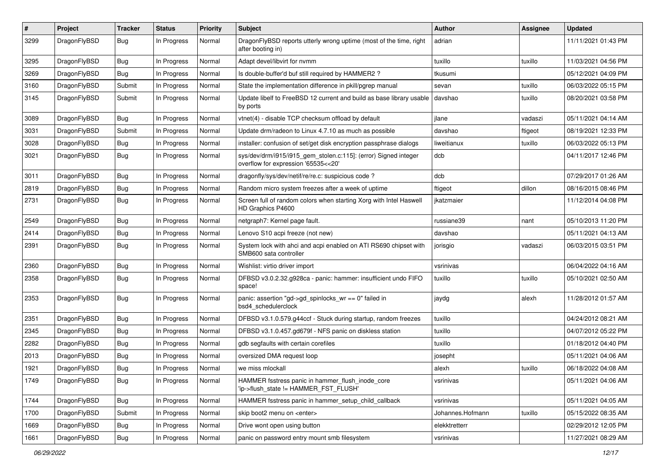| #    | Project      | <b>Tracker</b> | <b>Status</b> | <b>Priority</b> | <b>Subject</b>                                                                                         | <b>Author</b>    | Assignee | <b>Updated</b>      |
|------|--------------|----------------|---------------|-----------------|--------------------------------------------------------------------------------------------------------|------------------|----------|---------------------|
| 3299 | DragonFlyBSD | <b>Bug</b>     | In Progress   | Normal          | DragonFlyBSD reports utterly wrong uptime (most of the time, right<br>after booting in)                | adrian           |          | 11/11/2021 01:43 PM |
| 3295 | DragonFlyBSD | <b>Bug</b>     | In Progress   | Normal          | Adapt devel/libvirt for nvmm                                                                           | tuxillo          | tuxillo  | 11/03/2021 04:56 PM |
| 3269 | DragonFlyBSD | <b>Bug</b>     | In Progress   | Normal          | Is double-buffer'd buf still required by HAMMER2?                                                      | tkusumi          |          | 05/12/2021 04:09 PM |
| 3160 | DragonFlyBSD | Submit         | In Progress   | Normal          | State the implementation difference in pkill/pgrep manual                                              | sevan            | tuxillo  | 06/03/2022 05:15 PM |
| 3145 | DragonFlyBSD | Submit         | In Progress   | Normal          | Update libelf to FreeBSD 12 current and build as base library usable<br>by ports                       | davshao          | tuxillo  | 08/20/2021 03:58 PM |
| 3089 | DragonFlyBSD | Bug            | In Progress   | Normal          | vtnet(4) - disable TCP checksum offload by default                                                     | jlane            | vadaszi  | 05/11/2021 04:14 AM |
| 3031 | DragonFlyBSD | Submit         | In Progress   | Normal          | Update drm/radeon to Linux 4.7.10 as much as possible                                                  | davshao          | ftigeot  | 08/19/2021 12:33 PM |
| 3028 | DragonFlyBSD | <b>Bug</b>     | In Progress   | Normal          | installer: confusion of set/get disk encryption passphrase dialogs                                     | liweitianux      | tuxillo  | 06/03/2022 05:13 PM |
| 3021 | DragonFlyBSD | <b>Bug</b>     | In Progress   | Normal          | sys/dev/drm/i915/i915_gem_stolen.c:115]: (error) Signed integer<br>overflow for expression '65535<<20' | dcb              |          | 04/11/2017 12:46 PM |
| 3011 | DragonFlyBSD | <b>Bug</b>     | In Progress   | Normal          | dragonfly/sys/dev/netif/re/re.c: suspicious code?                                                      | dcb              |          | 07/29/2017 01:26 AM |
| 2819 | DragonFlyBSD | <b>Bug</b>     | In Progress   | Normal          | Random micro system freezes after a week of uptime                                                     | ftigeot          | dillon   | 08/16/2015 08:46 PM |
| 2731 | DragonFlyBSD | <b>Bug</b>     | In Progress   | Normal          | Screen full of random colors when starting Xorg with Intel Haswell<br>HD Graphics P4600                | jkatzmaier       |          | 11/12/2014 04:08 PM |
| 2549 | DragonFlyBSD | <b>Bug</b>     | In Progress   | Normal          | netgraph7: Kernel page fault.                                                                          | russiane39       | nant     | 05/10/2013 11:20 PM |
| 2414 | DragonFlyBSD | <b>Bug</b>     | In Progress   | Normal          | Lenovo S10 acpi freeze (not new)                                                                       | davshao          |          | 05/11/2021 04:13 AM |
| 2391 | DragonFlyBSD | <b>Bug</b>     | In Progress   | Normal          | System lock with ahci and acpi enabled on ATI RS690 chipset with<br>SMB600 sata controller             | jorisgio         | vadaszi  | 06/03/2015 03:51 PM |
| 2360 | DragonFlyBSD | Bug            | In Progress   | Normal          | Wishlist: virtio driver import                                                                         | vsrinivas        |          | 06/04/2022 04:16 AM |
| 2358 | DragonFlyBSD | <b>Bug</b>     | In Progress   | Normal          | DFBSD v3.0.2.32.g928ca - panic: hammer: insufficient undo FIFO<br>space!                               | tuxillo          | tuxillo  | 05/10/2021 02:50 AM |
| 2353 | DragonFlyBSD | <b>Bug</b>     | In Progress   | Normal          | panic: assertion "gd->gd_spinlocks_wr == 0" failed in<br>bsd4_schedulerclock                           | jaydg            | alexh    | 11/28/2012 01:57 AM |
| 2351 | DragonFlyBSD | <b>Bug</b>     | In Progress   | Normal          | DFBSD v3.1.0.579.g44ccf - Stuck during startup, random freezes                                         | tuxillo          |          | 04/24/2012 08:21 AM |
| 2345 | DragonFlyBSD | <b>Bug</b>     | In Progress   | Normal          | DFBSD v3.1.0.457.gd679f - NFS panic on diskless station                                                | tuxillo          |          | 04/07/2012 05:22 PM |
| 2282 | DragonFlyBSD | <b>Bug</b>     | In Progress   | Normal          | gdb segfaults with certain corefiles                                                                   | tuxillo          |          | 01/18/2012 04:40 PM |
| 2013 | DragonFlyBSD | <b>Bug</b>     | In Progress   | Normal          | oversized DMA request loop                                                                             | josepht          |          | 05/11/2021 04:06 AM |
| 1921 | DragonFlyBSD | Bug            | In Progress   | Normal          | we miss mlockall                                                                                       | alexh            | tuxillo  | 06/18/2022 04:08 AM |
| 1749 | DragonFlyBSD | <b>Bug</b>     | In Progress   | Normal          | HAMMER fsstress panic in hammer_flush_inode_core<br>'ip->flush state != HAMMER FST FLUSH'              | vsrinivas        |          | 05/11/2021 04:06 AM |
| 1744 | DragonFlyBSD | <b>Bug</b>     | In Progress   | Normal          | HAMMER fsstress panic in hammer_setup_child_callback                                                   | vsrinivas        |          | 05/11/2021 04:05 AM |
| 1700 | DragonFlyBSD | Submit         | In Progress   | Normal          | skip boot2 menu on <enter></enter>                                                                     | Johannes.Hofmann | tuxillo  | 05/15/2022 08:35 AM |
| 1669 | DragonFlyBSD | <b>Bug</b>     | In Progress   | Normal          | Drive wont open using button                                                                           | elekktretterr    |          | 02/29/2012 12:05 PM |
| 1661 | DragonFlyBSD | <b>Bug</b>     | In Progress   | Normal          | panic on password entry mount smb filesystem                                                           | vsrinivas        |          | 11/27/2021 08:29 AM |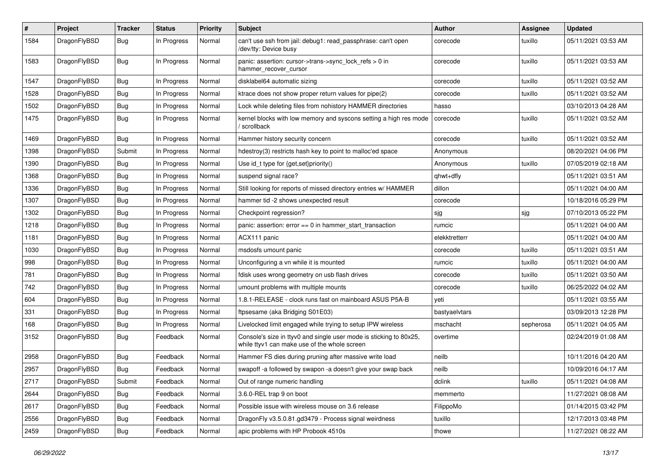| $\#$ | Project      | <b>Tracker</b> | <b>Status</b> | <b>Priority</b> | Subject                                                                                                            | Author        | <b>Assignee</b> | <b>Updated</b>      |
|------|--------------|----------------|---------------|-----------------|--------------------------------------------------------------------------------------------------------------------|---------------|-----------------|---------------------|
| 1584 | DragonFlyBSD | <b>Bug</b>     | In Progress   | Normal          | can't use ssh from jail: debug1: read_passphrase: can't open<br>/dev/tty: Device busy                              | corecode      | tuxillo         | 05/11/2021 03:53 AM |
| 1583 | DragonFlyBSD | <b>Bug</b>     | In Progress   | Normal          | panic: assertion: cursor->trans->sync_lock_refs > 0 in<br>hammer_recover_cursor                                    | corecode      | tuxillo         | 05/11/2021 03:53 AM |
| 1547 | DragonFlyBSD | <b>Bug</b>     | In Progress   | Normal          | disklabel64 automatic sizing                                                                                       | corecode      | tuxillo         | 05/11/2021 03:52 AM |
| 1528 | DragonFlyBSD | <b>Bug</b>     | In Progress   | Normal          | ktrace does not show proper return values for pipe(2)                                                              | corecode      | tuxillo         | 05/11/2021 03:52 AM |
| 1502 | DragonFlyBSD | <b>Bug</b>     | In Progress   | Normal          | Lock while deleting files from nohistory HAMMER directories                                                        | hasso         |                 | 03/10/2013 04:28 AM |
| 1475 | DragonFlyBSD | <b>Bug</b>     | In Progress   | Normal          | kernel blocks with low memory and syscons setting a high res mode<br>/ scrollback                                  | corecode      | tuxillo         | 05/11/2021 03:52 AM |
| 1469 | DragonFlyBSD | <b>Bug</b>     | In Progress   | Normal          | Hammer history security concern                                                                                    | corecode      | tuxillo         | 05/11/2021 03:52 AM |
| 1398 | DragonFlyBSD | Submit         | In Progress   | Normal          | hdestroy(3) restricts hash key to point to malloc'ed space                                                         | Anonymous     |                 | 08/20/2021 04:06 PM |
| 1390 | DragonFlyBSD | <b>Bug</b>     | In Progress   | Normal          | Use id_t type for {get,set}priority()                                                                              | Anonymous     | tuxillo         | 07/05/2019 02:18 AM |
| 1368 | DragonFlyBSD | <b>Bug</b>     | In Progress   | Normal          | suspend signal race?                                                                                               | qhwt+dfly     |                 | 05/11/2021 03:51 AM |
| 1336 | DragonFlyBSD | Bug            | In Progress   | Normal          | Still looking for reports of missed directory entries w/ HAMMER                                                    | dillon        |                 | 05/11/2021 04:00 AM |
| 1307 | DragonFlyBSD | Bug            | In Progress   | Normal          | hammer tid -2 shows unexpected result                                                                              | corecode      |                 | 10/18/2016 05:29 PM |
| 1302 | DragonFlyBSD | Bug            | In Progress   | Normal          | Checkpoint regression?                                                                                             | sjg           | sjg             | 07/10/2013 05:22 PM |
| 1218 | DragonFlyBSD | Bug            | In Progress   | Normal          | panic: assertion: error == 0 in hammer_start_transaction                                                           | rumcic        |                 | 05/11/2021 04:00 AM |
| 1181 | DragonFlyBSD | Bug            | In Progress   | Normal          | ACX111 panic                                                                                                       | elekktretterr |                 | 05/11/2021 04:00 AM |
| 1030 | DragonFlyBSD | Bug            | In Progress   | Normal          | msdosfs umount panic                                                                                               | corecode      | tuxillo         | 05/11/2021 03:51 AM |
| 998  | DragonFlyBSD | Bug            | In Progress   | Normal          | Unconfiguring a vn while it is mounted                                                                             | rumcic        | tuxillo         | 05/11/2021 04:00 AM |
| 781  | DragonFlyBSD | Bug            | In Progress   | Normal          | fdisk uses wrong geometry on usb flash drives                                                                      | corecode      | tuxillo         | 05/11/2021 03:50 AM |
| 742  | DragonFlyBSD | Bug            | In Progress   | Normal          | umount problems with multiple mounts                                                                               | corecode      | tuxillo         | 06/25/2022 04:02 AM |
| 604  | DragonFlyBSD | Bug            | In Progress   | Normal          | 1.8.1-RELEASE - clock runs fast on mainboard ASUS P5A-B                                                            | yeti          |                 | 05/11/2021 03:55 AM |
| 331  | DragonFlyBSD | Bug            | In Progress   | Normal          | ftpsesame (aka Bridging S01E03)                                                                                    | bastyaelvtars |                 | 03/09/2013 12:28 PM |
| 168  | DragonFlyBSD | Bug            | In Progress   | Normal          | Livelocked limit engaged while trying to setup IPW wireless                                                        | mschacht      | sepherosa       | 05/11/2021 04:05 AM |
| 3152 | DragonFlyBSD | Bug            | Feedback      | Normal          | Console's size in ttyv0 and single user mode is sticking to 80x25,<br>while ttyv1 can make use of the whole screen | overtime      |                 | 02/24/2019 01:08 AM |
| 2958 | DragonFlyBSD | Bug            | Feedback      | Normal          | Hammer FS dies during pruning after massive write load                                                             | neilb         |                 | 10/11/2016 04:20 AM |
| 2957 | DragonFlyBSD | <b>Bug</b>     | Feedback      | Normal          | swapoff -a followed by swapon -a doesn't give your swap back                                                       | neilb         |                 | 10/09/2016 04:17 AM |
| 2717 | DragonFlyBSD | Submit         | Feedback      | Normal          | Out of range numeric handling                                                                                      | dclink        | tuxillo         | 05/11/2021 04:08 AM |
| 2644 | DragonFlyBSD | <b>Bug</b>     | Feedback      | Normal          | 3.6.0-REL trap 9 on boot                                                                                           | memmerto      |                 | 11/27/2021 08:08 AM |
| 2617 | DragonFlyBSD | <b>Bug</b>     | Feedback      | Normal          | Possible issue with wireless mouse on 3.6 release                                                                  | FilippoMo     |                 | 01/14/2015 03:42 PM |
| 2556 | DragonFlyBSD | <b>Bug</b>     | Feedback      | Normal          | DragonFly v3.5.0.81.gd3479 - Process signal weirdness                                                              | tuxillo       |                 | 12/17/2013 03:48 PM |
| 2459 | DragonFlyBSD | <b>Bug</b>     | Feedback      | Normal          | apic problems with HP Probook 4510s                                                                                | thowe         |                 | 11/27/2021 08:22 AM |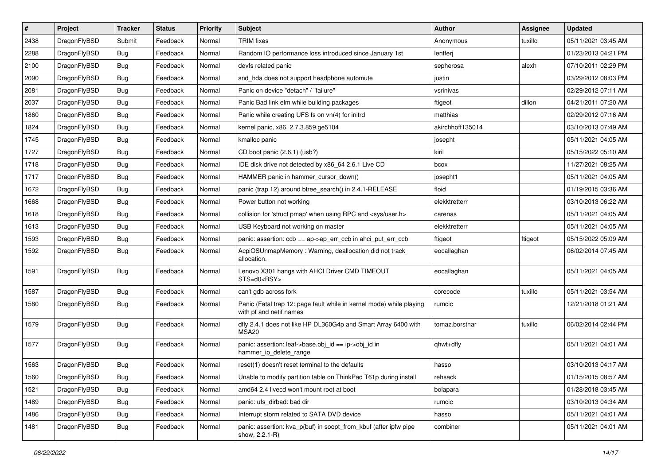| $\sharp$ | Project      | <b>Tracker</b> | <b>Status</b> | <b>Priority</b> | Subject                                                                                         | Author           | <b>Assignee</b> | <b>Updated</b>      |
|----------|--------------|----------------|---------------|-----------------|-------------------------------------------------------------------------------------------------|------------------|-----------------|---------------------|
| 2438     | DragonFlyBSD | Submit         | Feedback      | Normal          | <b>TRIM</b> fixes                                                                               | Anonymous        | tuxillo         | 05/11/2021 03:45 AM |
| 2288     | DragonFlyBSD | Bug            | Feedback      | Normal          | Random IO performance loss introduced since January 1st                                         | lentferj         |                 | 01/23/2013 04:21 PM |
| 2100     | DragonFlyBSD | <b>Bug</b>     | Feedback      | Normal          | devfs related panic                                                                             | sepherosa        | alexh           | 07/10/2011 02:29 PM |
| 2090     | DragonFlyBSD | <b>Bug</b>     | Feedback      | Normal          | snd_hda does not support headphone automute                                                     | justin           |                 | 03/29/2012 08:03 PM |
| 2081     | DragonFlyBSD | <b>Bug</b>     | Feedback      | Normal          | Panic on device "detach" / "failure"                                                            | vsrinivas        |                 | 02/29/2012 07:11 AM |
| 2037     | DragonFlyBSD | <b>Bug</b>     | Feedback      | Normal          | Panic Bad link elm while building packages                                                      | ftigeot          | dillon          | 04/21/2011 07:20 AM |
| 1860     | DragonFlyBSD | <b>Bug</b>     | Feedback      | Normal          | Panic while creating UFS fs on vn(4) for initrd                                                 | matthias         |                 | 02/29/2012 07:16 AM |
| 1824     | DragonFlyBSD | <b>Bug</b>     | Feedback      | Normal          | kernel panic, x86, 2.7.3.859.ge5104                                                             | akirchhoff135014 |                 | 03/10/2013 07:49 AM |
| 1745     | DragonFlyBSD | <b>Bug</b>     | Feedback      | Normal          | kmalloc panic                                                                                   | josepht          |                 | 05/11/2021 04:05 AM |
| 1727     | DragonFlyBSD | <b>Bug</b>     | Feedback      | Normal          | CD boot panic (2.6.1) (usb?)                                                                    | kiril            |                 | 05/15/2022 05:10 AM |
| 1718     | DragonFlyBSD | <b>Bug</b>     | Feedback      | Normal          | IDE disk drive not detected by x86 64 2.6.1 Live CD                                             | bcox             |                 | 11/27/2021 08:25 AM |
| 1717     | DragonFlyBSD | <b>Bug</b>     | Feedback      | Normal          | HAMMER panic in hammer cursor down()                                                            | josepht1         |                 | 05/11/2021 04:05 AM |
| 1672     | DragonFlyBSD | <b>Bug</b>     | Feedback      | Normal          | panic (trap 12) around btree search() in 2.4.1-RELEASE                                          | floid            |                 | 01/19/2015 03:36 AM |
| 1668     | DragonFlyBSD | <b>Bug</b>     | Feedback      | Normal          | Power button not working                                                                        | elekktretterr    |                 | 03/10/2013 06:22 AM |
| 1618     | DragonFlyBSD | <b>Bug</b>     | Feedback      | Normal          | collision for 'struct pmap' when using RPC and <sys user.h=""></sys>                            | carenas          |                 | 05/11/2021 04:05 AM |
| 1613     | DragonFlyBSD | <b>Bug</b>     | Feedback      | Normal          | USB Keyboard not working on master                                                              | elekktretterr    |                 | 05/11/2021 04:05 AM |
| 1593     | DragonFlyBSD | <b>Bug</b>     | Feedback      | Normal          | panic: assertion: ccb == ap->ap_err_ccb in ahci_put_err_ccb                                     | ftigeot          | ftigeot         | 05/15/2022 05:09 AM |
| 1592     | DragonFlyBSD | <b>Bug</b>     | Feedback      | Normal          | AcpiOSUnmapMemory: Warning, deallocation did not track<br>allocation.                           | eocallaghan      |                 | 06/02/2014 07:45 AM |
| 1591     | DragonFlyBSD | <b>Bug</b>     | Feedback      | Normal          | Lenovo X301 hangs with AHCI Driver CMD TIMEOUT<br>STS=d0 <bsy></bsy>                            | eocallaghan      |                 | 05/11/2021 04:05 AM |
| 1587     | DragonFlyBSD | <b>Bug</b>     | Feedback      | Normal          | can't gdb across fork                                                                           | corecode         | tuxillo         | 05/11/2021 03:54 AM |
| 1580     | DragonFlyBSD | <b>Bug</b>     | Feedback      | Normal          | Panic (Fatal trap 12: page fault while in kernel mode) while playing<br>with pf and netif names | rumcic           |                 | 12/21/2018 01:21 AM |
| 1579     | DragonFlyBSD | <b>Bug</b>     | Feedback      | Normal          | dfly 2.4.1 does not like HP DL360G4p and Smart Array 6400 with<br>MSA20                         | tomaz.borstnar   | tuxillo         | 06/02/2014 02:44 PM |
| 1577     | DragonFlyBSD | <b>Bug</b>     | Feedback      | Normal          | panic: assertion: leaf->base.obj_id == ip->obj_id in<br>hammer_ip_delete_range                  | qhwt+dfly        |                 | 05/11/2021 04:01 AM |
| 1563     | DragonFlyBSD | <b>Bug</b>     | Feedback      | Normal          | reset(1) doesn't reset terminal to the defaults                                                 | hasso            |                 | 03/10/2013 04:17 AM |
| 1560     | DragonFlyBSD | <b>Bug</b>     | Feedback      | Normal          | Unable to modify partition table on ThinkPad T61p during install                                | rehsack          |                 | 01/15/2015 08:57 AM |
| 1521     | DragonFlyBSD | <b>Bug</b>     | Feedback      | Normal          | amd64 2.4 livecd won't mount root at boot                                                       | bolapara         |                 | 01/28/2018 03:45 AM |
| 1489     | DragonFlyBSD | <b>Bug</b>     | Feedback      | Normal          | panic: ufs dirbad: bad dir                                                                      | rumcic           |                 | 03/10/2013 04:34 AM |
| 1486     | DragonFlyBSD | <b>Bug</b>     | Feedback      | Normal          | Interrupt storm related to SATA DVD device                                                      | hasso            |                 | 05/11/2021 04:01 AM |
| 1481     | DragonFlyBSD | <b>Bug</b>     | Feedback      | Normal          | panic: assertion: kva_p(buf) in soopt_from_kbuf (after ipfw pipe<br>show, 2.2.1-R)              | combiner         |                 | 05/11/2021 04:01 AM |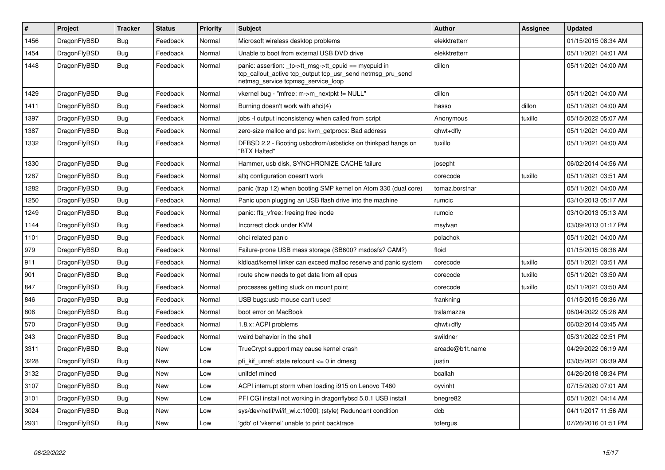| $\vert$ # | Project      | <b>Tracker</b> | <b>Status</b> | <b>Priority</b> | <b>Subject</b>                                                                                                                                            | <b>Author</b>   | Assignee | <b>Updated</b>      |
|-----------|--------------|----------------|---------------|-----------------|-----------------------------------------------------------------------------------------------------------------------------------------------------------|-----------------|----------|---------------------|
| 1456      | DragonFlyBSD | <b>Bug</b>     | Feedback      | Normal          | Microsoft wireless desktop problems                                                                                                                       | elekktretterr   |          | 01/15/2015 08:34 AM |
| 1454      | DragonFlyBSD | Bug            | Feedback      | Normal          | Unable to boot from external USB DVD drive                                                                                                                | elekktretterr   |          | 05/11/2021 04:01 AM |
| 1448      | DragonFlyBSD | <b>Bug</b>     | Feedback      | Normal          | panic: assertion: _tp->tt_msg->tt_cpuid == mycpuid in<br>tcp callout active tcp output tcp usr send netmsg pru send<br>netmsg_service tcpmsg_service_loop | dillon          |          | 05/11/2021 04:00 AM |
| 1429      | DragonFlyBSD | <b>Bug</b>     | Feedback      | Normal          | vkernel bug - "mfree: m->m_nextpkt != NULL"                                                                                                               | dillon          |          | 05/11/2021 04:00 AM |
| 1411      | DragonFlyBSD | <b>Bug</b>     | Feedback      | Normal          | Burning doesn't work with ahci(4)                                                                                                                         | hasso           | dillon   | 05/11/2021 04:00 AM |
| 1397      | DragonFlyBSD | Bug            | Feedback      | Normal          | jobs -I output inconsistency when called from script                                                                                                      | Anonymous       | tuxillo  | 05/15/2022 05:07 AM |
| 1387      | DragonFlyBSD | Bug            | Feedback      | Normal          | zero-size malloc and ps: kvm getprocs: Bad address                                                                                                        | qhwt+dfly       |          | 05/11/2021 04:00 AM |
| 1332      | DragonFlyBSD | <b>Bug</b>     | Feedback      | Normal          | DFBSD 2.2 - Booting usbcdrom/usbsticks on thinkpad hangs on<br>"BTX Halted"                                                                               | tuxillo         |          | 05/11/2021 04:00 AM |
| 1330      | DragonFlyBSD | <b>Bug</b>     | Feedback      | Normal          | Hammer, usb disk, SYNCHRONIZE CACHE failure                                                                                                               | josepht         |          | 06/02/2014 04:56 AM |
| 1287      | DragonFlyBSD | Bug            | Feedback      | Normal          | altg configuration doesn't work                                                                                                                           | corecode        | tuxillo  | 05/11/2021 03:51 AM |
| 1282      | DragonFlyBSD | <b>Bug</b>     | Feedback      | Normal          | panic (trap 12) when booting SMP kernel on Atom 330 (dual core)                                                                                           | tomaz.borstnar  |          | 05/11/2021 04:00 AM |
| 1250      | DragonFlyBSD | <b>Bug</b>     | Feedback      | Normal          | Panic upon plugging an USB flash drive into the machine                                                                                                   | rumcic          |          | 03/10/2013 05:17 AM |
| 1249      | DragonFlyBSD | <b>Bug</b>     | Feedback      | Normal          | panic: ffs vfree: freeing free inode                                                                                                                      | rumcic          |          | 03/10/2013 05:13 AM |
| 1144      | DragonFlyBSD | Bug            | Feedback      | Normal          | Incorrect clock under KVM                                                                                                                                 | msylvan         |          | 03/09/2013 01:17 PM |
| 1101      | DragonFlyBSD | Bug            | Feedback      | Normal          | ohci related panic                                                                                                                                        | polachok        |          | 05/11/2021 04:00 AM |
| 979       | DragonFlyBSD | <b>Bug</b>     | Feedback      | Normal          | Failure-prone USB mass storage (SB600? msdosfs? CAM?)                                                                                                     | floid           |          | 01/15/2015 08:38 AM |
| 911       | DragonFlyBSD | Bug            | Feedback      | Normal          | kidload/kernel linker can exceed malloc reserve and panic system                                                                                          | corecode        | tuxillo  | 05/11/2021 03:51 AM |
| 901       | DragonFlyBSD | <b>Bug</b>     | Feedback      | Normal          | route show needs to get data from all cpus                                                                                                                | corecode        | tuxillo  | 05/11/2021 03:50 AM |
| 847       | DragonFlyBSD | Bug            | Feedback      | Normal          | processes getting stuck on mount point                                                                                                                    | corecode        | tuxillo  | 05/11/2021 03:50 AM |
| 846       | DragonFlyBSD | <b>Bug</b>     | Feedback      | Normal          | USB bugs:usb mouse can't used!                                                                                                                            | frankning       |          | 01/15/2015 08:36 AM |
| 806       | DragonFlyBSD | <b>Bug</b>     | Feedback      | Normal          | boot error on MacBook                                                                                                                                     | tralamazza      |          | 06/04/2022 05:28 AM |
| 570       | DragonFlyBSD | <b>Bug</b>     | Feedback      | Normal          | 1.8.x: ACPI problems                                                                                                                                      | qhwt+dfly       |          | 06/02/2014 03:45 AM |
| 243       | DragonFlyBSD | <b>Bug</b>     | Feedback      | Normal          | weird behavior in the shell                                                                                                                               | swildner        |          | 05/31/2022 02:51 PM |
| 3311      | DragonFlyBSD | Bug            | New           | Low             | TrueCrypt support may cause kernel crash                                                                                                                  | arcade@b1t.name |          | 04/29/2022 06:19 AM |
| 3228      | DragonFlyBSD | <b>Bug</b>     | New           | Low             | pfi_kif_unref: state refcount <= 0 in dmesg                                                                                                               | justin          |          | 03/05/2021 06:39 AM |
| 3132      | DragonFlyBSD | Bug            | New           | Low             | unifdef mined                                                                                                                                             | bcallah         |          | 04/26/2018 08:34 PM |
| 3107      | DragonFlyBSD | <b>Bug</b>     | New           | Low             | ACPI interrupt storm when loading i915 on Lenovo T460                                                                                                     | oyvinht         |          | 07/15/2020 07:01 AM |
| 3101      | DragonFlyBSD | Bug            | New           | Low             | PFI CGI install not working in dragonflybsd 5.0.1 USB install                                                                                             | bnegre82        |          | 05/11/2021 04:14 AM |
| 3024      | DragonFlyBSD | Bug            | New           | Low             | sys/dev/netif/wi/if wi.c:1090]: (style) Redundant condition                                                                                               | dcb             |          | 04/11/2017 11:56 AM |
| 2931      | DragonFlyBSD | Bug            | New           | Low             | 'gdb' of 'vkernel' unable to print backtrace                                                                                                              | tofergus        |          | 07/26/2016 01:51 PM |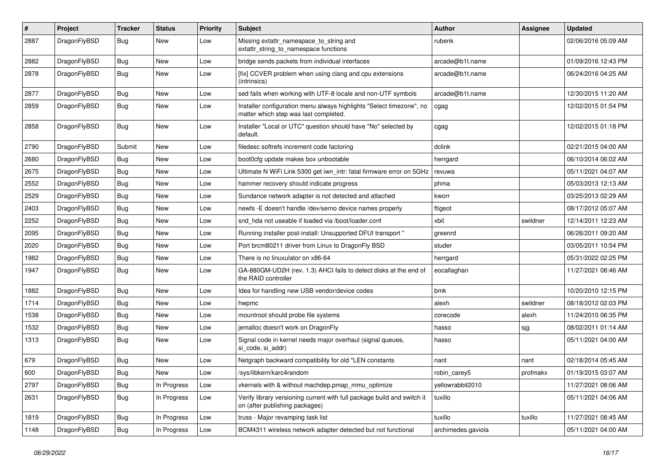| #    | Project      | <b>Tracker</b> | <b>Status</b> | <b>Priority</b> | Subject                                                                                                       | Author             | Assignee | <b>Updated</b>      |
|------|--------------|----------------|---------------|-----------------|---------------------------------------------------------------------------------------------------------------|--------------------|----------|---------------------|
| 2887 | DragonFlyBSD | Bug            | New           | Low             | Missing extattr_namespace_to_string and<br>extattr_string_to_namespace functions                              | rubenk             |          | 02/06/2016 05:09 AM |
| 2882 | DragonFlyBSD | Bug            | <b>New</b>    | Low             | bridge sends packets from individual interfaces                                                               | arcade@b1t.name    |          | 01/09/2016 12:43 PM |
| 2878 | DragonFlyBSD | Bug            | New           | Low             | [fix] CCVER problem when using clang and cpu extensions<br>(intrinsics)                                       | arcade@b1t.name    |          | 06/24/2016 04:25 AM |
| 2877 | DragonFlyBSD | <b>Bug</b>     | New           | Low             | sed fails when working with UTF-8 locale and non-UTF symbols                                                  | arcade@b1t.name    |          | 12/30/2015 11:20 AM |
| 2859 | DragonFlyBSD | <b>Bug</b>     | New           | Low             | Installer configuration menu always highlights "Select timezone", no<br>matter which step was last completed. | cgag               |          | 12/02/2015 01:54 PM |
| 2858 | DragonFlyBSD | <b>Bug</b>     | New           | Low             | Installer "Local or UTC" question should have "No" selected by<br>default.                                    | cgag               |          | 12/02/2015 01:18 PM |
| 2790 | DragonFlyBSD | Submit         | <b>New</b>    | Low             | filedesc softrefs increment code factoring                                                                    | dclink             |          | 02/21/2015 04:00 AM |
| 2680 | DragonFlyBSD | <b>Bug</b>     | New           | Low             | boot0cfg update makes box unbootable                                                                          | herrgard           |          | 06/10/2014 06:02 AM |
| 2675 | DragonFlyBSD | Bug            | <b>New</b>    | Low             | Ultimate N WiFi Link 5300 get iwn_intr: fatal firmware error on 5GHz                                          | revuwa             |          | 05/11/2021 04:07 AM |
| 2552 | DragonFlyBSD | <b>Bug</b>     | New           | Low             | hammer recovery should indicate progress                                                                      | phma               |          | 05/03/2013 12:13 AM |
| 2529 | DragonFlyBSD | <b>Bug</b>     | <b>New</b>    | Low             | Sundance network adapter is not detected and attached                                                         | kworr              |          | 03/25/2013 02:29 AM |
| 2403 | DragonFlyBSD | <b>Bug</b>     | New           | Low             | newfs - E doesn't handle /dev/serno device names properly                                                     | ftigeot            |          | 08/17/2012 05:07 AM |
| 2252 | DragonFlyBSD | <b>Bug</b>     | New           | Low             | snd hda not useable if loaded via /boot/loader.conf                                                           | xbit               | swildner | 12/14/2011 12:23 AM |
| 2095 | DragonFlyBSD | <b>Bug</b>     | <b>New</b>    | Low             | Running installer post-install: Unsupported DFUI transport "                                                  | greenrd            |          | 06/26/2011 09:20 AM |
| 2020 | DragonFlyBSD | <b>Bug</b>     | New           | Low             | Port brcm80211 driver from Linux to DragonFly BSD                                                             | studer             |          | 03/05/2011 10:54 PM |
| 1982 | DragonFlyBSD | <b>Bug</b>     | New           | Low             | There is no linuxulator on x86-64                                                                             | herrgard           |          | 05/31/2022 02:25 PM |
| 1947 | DragonFlyBSD | <b>Bug</b>     | <b>New</b>    | Low             | GA-880GM-UD2H (rev. 1.3) AHCI fails to detect disks at the end of<br>the RAID controller                      | eocallaghan        |          | 11/27/2021 08:46 AM |
| 1882 | DragonFlyBSD | Bug            | <b>New</b>    | Low             | Idea for handling new USB vendor/device codes                                                                 | bmk                |          | 10/20/2010 12:15 PM |
| 1714 | DragonFlyBSD | Bug            | <b>New</b>    | Low             | hwpmc                                                                                                         | alexh              | swildner | 08/18/2012 02:03 PM |
| 1538 | DragonFlyBSD | Bug            | New           | Low             | mountroot should probe file systems                                                                           | corecode           | alexh    | 11/24/2010 06:35 PM |
| 1532 | DragonFlyBSD | Bug            | <b>New</b>    | Low             | jemalloc doesn't work on DragonFly                                                                            | hasso              | sjg      | 08/02/2011 01:14 AM |
| 1313 | DragonFlyBSD | Bug            | New           | Low             | Signal code in kernel needs major overhaul (signal queues,<br>si code, si addr)                               | hasso              |          | 05/11/2021 04:00 AM |
| 679  | DragonFlyBSD | Bug            | New           | Low             | Netgraph backward compatibility for old *LEN constants                                                        | nant               | nant     | 02/18/2014 05:45 AM |
| 600  | DragonFlyBSD | Bug            | <b>New</b>    | Low             | /sys/libkern/karc4random                                                                                      | robin carey5       | profmakx | 01/19/2015 03:07 AM |
| 2797 | DragonFlyBSD | <b>Bug</b>     | In Progress   | Low             | vkernels with & without machdep.pmap_mmu_optimize                                                             | yellowrabbit2010   |          | 11/27/2021 08:06 AM |
| 2631 | DragonFlyBSD | <b>Bug</b>     | In Progress   | Low             | Verify library versioning current with full package build and switch it<br>on (after publishing packages)     | tuxillo            |          | 05/11/2021 04:06 AM |
| 1819 | DragonFlyBSD | <b>Bug</b>     | In Progress   | Low             | truss - Major revamping task list                                                                             | tuxillo            | tuxillo  | 11/27/2021 08:45 AM |
| 1148 | DragonFlyBSD | <b>Bug</b>     | In Progress   | Low             | BCM4311 wireless network adapter detected but not functional                                                  | archimedes.gaviola |          | 05/11/2021 04:00 AM |